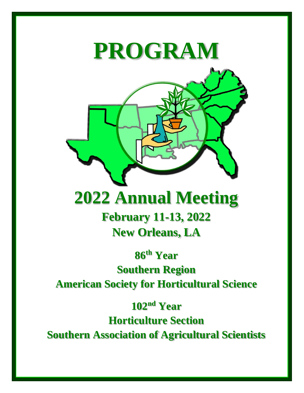# **PROGRAM**

# **2022 Annual Meeting**

**February 11-13, 2022 New Orleans, LA**

**86 th Year Southern Region American Society for Horticultural Science**

**102 nd Year**

**Horticulture Section**

**Southern Association of Agricultural Scientists**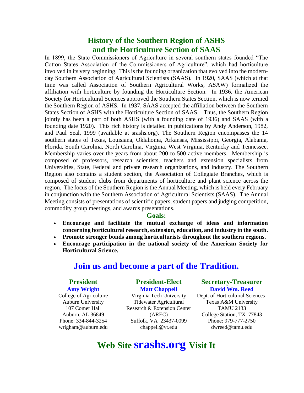## **History of the Southern Region of ASHS and the Horticulture Section of SAAS**

In 1899, the State Commissioners of Agriculture in several southern states founded "The Cotton States Association of the Commissioners of Agriculture", which had horticulture involved in its very beginning. This is the founding organization that evolved into the modernday Southern Association of Agricultural Scientists (SAAS). In 1920, SAAS (which at that time was called Association of Southern Agricultural Works, ASAW) formalized the affiliation with horticulture by founding the Horticulture Section. In 1936, the American Society for Horticultural Sciences approved the Southern States Section, which is now termed the Southern Region of ASHS. In 1937, SAAS accepted the affiliation between the Southern States Section of ASHS with the Horticulture Section of SAAS. Thus, the Southern Region jointly has been a part of both ASHS (with a founding date of 1936) and SAAS (with a founding date 1920). This rich history is detailed in publications by Andy Anderson, 1982, and Paul Seal, 1999 (available at srashs.org). The Southern Region encompasses the 14 southern states of Texas, Louisiana, Oklahoma, Arkansas, Mississippi, Georgia, Alabama, Florida, South Carolina, North Carolina, Virginia, West Virginia, Kentucky and Tennessee. Membership varies over the years from about 200 to 500 active members. Membership is composed of professors, research scientists, teachers and extension specialists from Universities, State, Federal and private research organizations, and industry. The Southern Region also contains a student section, the Association of Collegiate Branches, which is composed of student clubs from departments of horticulture and plant science across the region. The focus of the Southern Region is the Annual Meeting, which is held every February in conjunction with the Southern Association of Agricultural Scientists (SAAS). The Annual Meeting consists of presentations of scientific papers, student papers and judging competition, commodity group meetings, and awards presentations.

#### **Goals:**

- **Encourage and facilitate the mutual exchange of ideas and information concerning horticultural research, extension, education, and industry in the south.**
- **Promote stronger bonds among horticulturists throughout the southern regions.**
- **Encourage participation in the national society of the American Society for Horticultural Science.**

## **Join us and become a part of the Tradition.**

#### **President Amy Wright**

College of Agriculture Auburn University 107 Comer Hall Auburn, AL 36849 Phone: 334-844-3254 wrigham@auburn.edu

#### **President-Elect Matt Chappell**

Virginia Tech University Tidewater Agricultural Research & Extension Center (AREC) Suffolk, VA 23437-0099 chappell@vt.edu

#### **Secretary-Treasurer David Wm. Reed**

Dept. of Horticultural Sciences Texas A&M University TAMU 2133 College Station, TX 77843 Phone: 979-777-2750 dwreed@tamu.edu

# **Web Site srashs.org Visit It**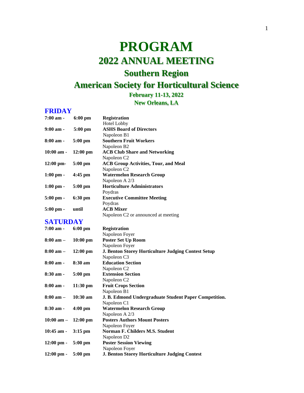# **PROGRAM 2022 ANNUAL MEETING Southern Region**

# **American Society for Horticultural Science**

## **February 11-13, 2022**

**New Orleans, LA**

#### **FRIDAY**

| $7:00$ am -                         | $6:00$ pm          | <b>Registration</b>                         |
|-------------------------------------|--------------------|---------------------------------------------|
|                                     |                    | <b>Hotel Lobby</b>                          |
| $9:00 \text{ am} -$                 | $5:00 \text{ pm}$  | <b>ASHS Board of Directors</b>              |
|                                     |                    | Napoleon B1                                 |
| 8:00 am -                           | $5:00 \text{ pm}$  | <b>Southern Fruit Workers</b>               |
|                                     |                    | Napoleon B <sub>2</sub>                     |
| $10:00 \text{ am} -$                | $12:00 \text{ pm}$ | <b>ACB Club Share and Networking</b>        |
|                                     |                    | Napoleon C <sub>2</sub>                     |
| $12:00 \text{ pm}$                  | $5:00 \text{ pm}$  | <b>ACB Group Activities, Tour, and Meal</b> |
|                                     |                    | Napoleon C <sub>2</sub>                     |
| $1:00 \text{ pm} - 4:45 \text{ pm}$ |                    | <b>Watermelon Research Group</b>            |
|                                     |                    | Napoleon A 2/3                              |
| $1:00 \text{ pm} -$                 | $5:00 \text{ pm}$  | <b>Horticulture Administrators</b>          |
|                                     |                    | Poydras                                     |
| $5:00 \text{ pm} -$                 | $6:30 \text{ pm}$  | <b>Executive Committee Meeting</b>          |
|                                     |                    | Poydras                                     |
| $5:00$ pm -                         | until              | <b>ACB</b> Mixer                            |
|                                     |                    | Napoleon C2 or announced at meeting         |
|                                     |                    |                                             |

# **SATURDAY**

| 7:00 am -                            | $6:00$ pm          | <b>Registration</b>                                        |
|--------------------------------------|--------------------|------------------------------------------------------------|
|                                      |                    | Napoleon Foyer                                             |
| $8:00 \text{ am } -$                 | $10:00 \text{ pm}$ | <b>Poster Set Up Room</b>                                  |
|                                      |                    | Napoleon Foyer                                             |
| $8:00 \text{ am } -$                 | $12:00 \text{ pm}$ | <b>J. Benton Storey Horticulture Judging Contest Setup</b> |
|                                      |                    | Napoleon C <sub>3</sub>                                    |
| $8:00 \text{ am} -$                  | 8:30 am            | <b>Education Section</b>                                   |
|                                      |                    | Napoleon C <sub>2</sub>                                    |
| $8:30$ am -                          | $5:00 \text{ pm}$  | <b>Extension Section</b>                                   |
|                                      |                    | Napoleon C <sub>2</sub>                                    |
| $8:00$ am -                          | $11:30 \text{ pm}$ | <b>Fruit Crops Section</b>                                 |
|                                      |                    | Napoleon B1                                                |
| $8:00 \text{ am} -$                  | $10:30 \text{ am}$ | J. B. Edmond Undergraduate Student Paper Competition.      |
|                                      |                    | Napoleon C1                                                |
| $8:30$ am -                          | $4:00 \text{ pm}$  | <b>Watermelon Research Group</b>                           |
|                                      |                    | Napoleon A 2/3                                             |
| $10:00$ am $- 12:00$ pm              |                    | <b>Posters Authors Mount Posters</b>                       |
|                                      |                    | Napoleon Foyer                                             |
| $10:45$ am - $3:15$ pm               |                    | Norman F. Childers M.S. Student                            |
|                                      |                    | Napoleon D <sub>2</sub>                                    |
| $12:00 \text{ pm} - 5:00 \text{ pm}$ |                    | <b>Poster Session Viewing</b>                              |
|                                      |                    | Napoleon Foyer                                             |
| $12:00 \text{ pm} - 5:00 \text{ pm}$ |                    | <b>J. Benton Storey Horticulture Judging Contest</b>       |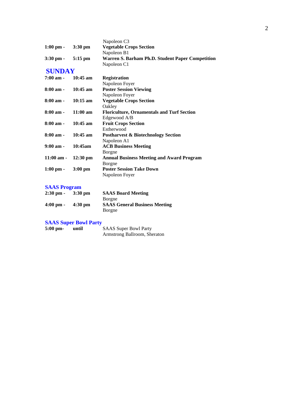|                                     |                    | Napoleon C <sub>3</sub>                           |
|-------------------------------------|--------------------|---------------------------------------------------|
| $1:00 \text{ pm} -$                 | $3:30 \text{ pm}$  | <b>Vegetable Crops Section</b>                    |
|                                     |                    | Napoleon B1                                       |
| $3:30 \text{ pm} - 5:15 \text{ pm}$ |                    | Warren S. Barham Ph.D. Student Paper Competition  |
|                                     |                    | Napoleon C1                                       |
| <b>SUNDAY</b>                       |                    |                                                   |
| $7:00 \text{ am} -$                 | $10:45$ am         | <b>Registration</b>                               |
|                                     |                    | Napoleon Foyer                                    |
| $8:00$ am -                         | 10:45 am           | <b>Poster Session Viewing</b>                     |
|                                     |                    | Napoleon Foyer                                    |
| $8:00 \text{ am} -$                 | $10:15$ am         | <b>Vegetable Crops Section</b>                    |
|                                     |                    | Oakley                                            |
| $8:00 \text{ am} -$                 | $11:00 \text{ am}$ | <b>Floriculture, Ornamentals and Turf Section</b> |
|                                     |                    | Edgewood A/B                                      |
| $8:00 \text{ am} -$                 | $10:45$ am         | <b>Fruit Crops Section</b>                        |
|                                     |                    | Estherwood                                        |
| $8:00 \text{ am} -$                 | $10:45$ am         | <b>Postharvest &amp; Biotechnology Section</b>    |
|                                     |                    | Napoleon A1                                       |
| $9:00 \text{ am} -$                 | 10:45am            | <b>ACB Business Meeting</b>                       |
|                                     |                    | Borgne                                            |
| $11:00$ am -                        | $12:30 \text{ pm}$ | <b>Annual Business Meeting and Award Program</b>  |
|                                     |                    | Borgne                                            |
| $1:00 \text{ pm} -$                 | $3:00 \text{ pm}$  | <b>Poster Session Take Down</b>                   |
|                                     |                    | Napoleon Foyer                                    |

#### **SAAS Program**

| $2:30 \text{ pm} -$ | $3:30 \text{ pm}$ | <b>SAAS Board Meeting</b>            |  |
|---------------------|-------------------|--------------------------------------|--|
|                     |                   | Borgne                               |  |
| $4:00 \text{ pm} -$ | $4:30 \text{ pm}$ | <b>SAAS General Business Meeting</b> |  |
|                     |                   | Borgne                               |  |

#### **SAAS Super Bowl Party**

| $5:00$ pm- | until | <b>SAAS Super Bowl Party</b> |
|------------|-------|------------------------------|
|            |       | Armstrong Ballroom, Sheraton |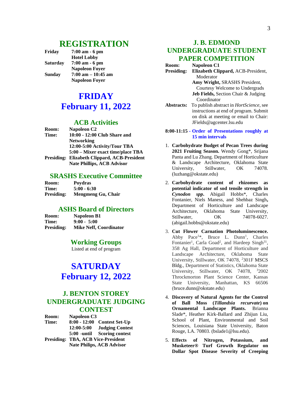### **REGISTRATION**

**Friday 7:00 am - 6 pm Hotel Lobby Saturday 7:00 am - 6 pm Napoleon Foyer Sunday 7:00 am – 10:45 am Napoleon Foyer**

# **FRIDAY February 11, 2022**

#### **ACB Activities**

| Room: | Napoleon C <sub>2</sub>                      |
|-------|----------------------------------------------|
| Time: | 10:00 - 12:00 Club Share and                 |
|       | <b>Networking</b>                            |
|       | 12:00-5:00 Activity/Tour TBA                 |
|       | 5:00 – Mixer exact time/place TBA            |
|       | Presiding: Elizabeth Clippard, ACB-President |
|       | <b>Nate Phillips, ACB Advisor</b>            |

#### **SRASHS Executive Committee**

| <b>Room:</b>      | <b>Poydras</b>     |
|-------------------|--------------------|
| <b>Time:</b>      | $5:00 - 6:30$      |
| <b>Presiding:</b> | Mengmeng Gu, Chair |

#### **ASHS Board of Directors**

| <b>Room:</b>      | <b>Napoleon B1</b>            |
|-------------------|-------------------------------|
| <b>Time:</b>      | $9:00 - 5:00$                 |
| <b>Presiding:</b> | <b>Mike Neff, Coordinator</b> |

#### **Working Groups**

Listed at end of program

# **SATURDAY February 12, 2022**

#### **J. BENTON STOREY UNDERGRADUATE JUDGING CONTEST**

**Room: Napoleon C3 Time: 8:00 - 12:00 Contest Set-Up 12:00-5:00 Judging Contest 5:00 -until Scoring contest Presiding: TBA, ACB Vice-President Nate Philips, ACB Advisor**

#### **J. B. EDMOND UNDERGRADUATE STUDENT PAPER COMPETITION**

**Room: Napoleon C1 Presiding: Elizabeth Clippard,** ACB-President, Moderator **Amy Wright,** SRASHS President, Courtesy Welcome to Undergrads **Jeb Fields,** Section Chair & Judging Coordinator **Abstracts:** To publish abstract in *HortScience*, see instructions at end of program. Submit on disk at meeting or email to Chair:

#### **8:00-11:15 - Order of Presentations roughly at 15 min intervals**

JFields@agcenter.lsu.edu

- 1. **Carbohydrate Budget of Pecan Trees during 2021 Fruiting Season.** Wendy Gong\*, Srijana Panta and Lu Zhang. Department of Horticulture & Landscape Architecture, Oklahoma State University, Stillwater, OK 74078. (luzhang@okstate.edu)
- 2. **Carbohydrate content of rhizomes as potential indicator of sod tensile strength in**  *Cynodon spp***.** Abigail Hobbs\*, Charles Fontanier, Niels Maness, and Shehbaz Singh**,**  Department of Horticulture and Landscape Architecture, Oklahoma State University, Stillwater. **OK** 74078-6027. (abigail.hobbs@okstate.edu)
- 3. **Cut Flower Carnation Photoluminescence.**  Abby Pace<sup>1\*</sup>, Bruce L. Dunn<sup>1</sup>, Charles Fontanier<sup>1</sup>, Carla Goad<sup>2</sup>, and Hardeep Singh<sup>31</sup>, 358 Ag Hall, Department of Horticulture and Landscape Architecture, Oklahoma State University, Stillwater, OK 74078, <sup>2</sup>301F MSCS Bldg., Department of Statistics, Oklahoma State University, Stillwater, OK 74078, <sup>3</sup>2002 Throckmorton Plant Science Center, Kansas State University, Manhattan, KS 66506 (bruce.dunn@okstate.edu)
- 4. **Discovery of Natural Agents for the Control of Ball Moss (***Tillandsia recurvate***) on Ornamental Landscape Plants.** Brianna Slade\*, Heather Kirk-Ballard and Zhijun Liu, School of Plant, Environmental and Soil Sciences, Louisiana State University, Baton Rouge, LA. 70803. (bslade1@lsu.edu).
- 5. **Effects of Nitrogen, Potassium, and Musketeer® Turf Growth Regulator on Dollar Spot Disease Severity of Creeping**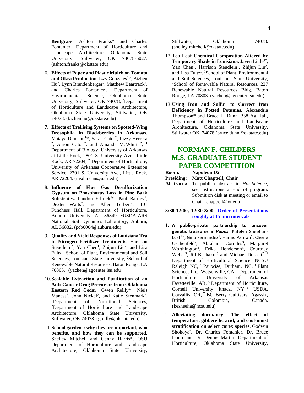**Bentgrass**. Ashton Franks\* and Charles Fontanier. Department of Horticulture and Landscape Architecture, Oklahoma State University, Stillwater, OK 74078-6027. (ashton.franks@okstate.edu)

- 6. **Effects of Paper and Plastic Mulch on Tomato**  and Okra Production. Izzy Gonzales<sup>1\*</sup>, Bizhen Hu<sup>2</sup>, Lynn Brandenberger<sup>2</sup>, Matthew Beartrack<sup>2</sup>, and Charles Fontanier<sup>2</sup>, <sup>1</sup>Department of Environmental Science, Oklahoma State University, Stillwater, OK 74078, <sup>2</sup>Department of Horticulture and Landscape Architecture, Oklahoma State University, Stillwater, OK 74078. (bizhen.hu@okstate.edu)
- 7. **Effects of Trellising Systems on Spotted-Wing Drosophila in Blackberries in Arkansas**. Mataya Duncan <sup>1</sup>\*, Sarah Cato <sup>2</sup>, Lizzy Herrera<br><sup>2</sup>, Aaron Cato <sup>2</sup>, and Amanda McWhirt <sup>2</sup>, <sup>1</sup> Department of Biology, University of Arkansas at Little Rock, 2801 S. University Ave., Little Rock, AR 72204, <sup>2</sup> Department of Horticulture, University of Arkansas Cooperative Extension Service, 2301 S. University Ave., Little Rock, AR 72204. (msduncan@ualr.edu)
- 8. **Influence of Flue Gas Desulfurization Gypsum on Phosphorus Loss in Pine Bark**  Substrates. Landon Erbrick<sup>1\*</sup>, Paul Bartley<sup>1</sup>, Dexter Watts<sup>2</sup>, and Allen Torbert<sup>2</sup>, <sup>1</sup>101 Funchess Hall, Department of Horticulture, Auburn University, AL 36849. <sup>2</sup>USDA-ARS National Soil Dynamics Laboratory, Auburn, AL 36832. (pcb0004@auburn.edu)
- 9. **Quality and Yield Responses of Louisiana Tea to Nitrogen Fertilizer Treatments.** Harrison Steudlein<sup>1\*</sup>, Yan Chen<sup>1</sup>, Zhijun Liu<sup>2</sup>, and Lisa Fultz. <sup>1</sup>School of Plant, Environmental and Soil Sciences, Louisiana State University, <sup>2</sup>School of Renewable Natural Resources. Baton Rouge, LA 70803. <sup>1</sup>(yachen@agcenter.lsu.edu)
- 10.**Scalable Extraction and Purification of an Anti-Cancer Drug Precursor from Oklahoma Eastern Red Cedar**. Gwen Reilly\*1, Niels Maness<sup>2</sup>, John Nickel<sup>2</sup>, and Katie Stenmark<sup>2</sup>, <sup>1</sup>Department of Nutritional Sciences, <sup>2</sup>Department of Horticulture and Landscape Architecture, Oklahoma State University, Stillwater, OK 74078. (greilly@okstate.edu)
- 11.**School gardens: why they are important, who benefits, and how they can be supported.**  Shelley Mitchell and Genny Harris\*, OSU Department of Horticulture and Landscape Architecture, Oklahoma State University,

| Stillwater,                    | Oklahoma | 74078. |
|--------------------------------|----------|--------|
| (shelley.mitchell@okstate.edu) |          |        |

- 12.**Tea Leaf Chemical Composition Altered by**  Temporary Shade in Louisiana. Javen Little<sup>1\*</sup>, Yan Chen<sup>1</sup>, Harrison Steudlein<sup>1</sup>, Zhijun Liu<sup>2</sup>, and Lisa Fultz<sup>1</sup>. <sup>1</sup>School of Plant, Environmental and Soil Sciences, Louisiana State University, <sup>2</sup>School of Renewable Natural Resources, 227 Renewable Natural Resources Bldg. Baton Rouge, LA 70803. (yachen@agcenter.lsu.edu)
- 13.**Using Iron and Sulfur to Correct Iron Deficiency in Potted Petunias.** Alexandria Thompson\* and Bruce L. Dunn. 358 Ag Hall, Department of Horticulture and Landscape Architecture, Oklahoma State University, Stillwater OK, 74078 (bruce.dunn@okstate.edu)

#### **NORMAN F. CHILDERS M.S. GRADUATE STUDENT PAPER COMPETITION**

- **Room: Napoleon D2 Presiding: Matt Chappell, Chair**
- **Abstracts:** To publish abstract in *HortScience*, see instructions at end of program. Submit on disk at meeting or email to Chair: chappell@vt.edu
- **8:30-12:00, 12:30-3:00 Order of Presentations roughly at 15 min intervals**
- **1. A public-private partnership to uncover genetic treasures in** *Rubus.* Katelyn Sheehan-Lust<sup>1\*</sup>, Gina Fernandez<sup>1</sup>, Hamid Ashrafi<sup>1</sup>, Cherie Oschenfeld<sup>2</sup>, Abraham Corrales<sup>3</sup>, Margaret Worthington<sup>4</sup>, Erika Henderson<sup>4</sup>, Courtney Weber<sup>5</sup>, Jill Bushakra<sup>6</sup> and Michael Dossett<sup>7</sup>.<sup>1</sup> Department of Horticultural Science, NCSU Raleigh NC,  $2$  Pairwise, Durham, NC,  $3$  Plant Sciences Inc., Watsonville, CA, <sup>4</sup> Department of Horticulture, University of Arkansas Fayetteville, AR, <sup>5</sup> Department of Horticulture, Cornell University Ithaca, NY, <sup>6</sup> USDA, Corvallis, OR, 7 BC Berry Cultivars, Agassiz, British Colombia, Canada. (kesheeha@ncsu.edu)
- 2. **Alleviating dormancy: The effect of temperature, gibberellic acid, and cool-moist stratification on select carex species**. Godwin Shokoya\* , Dr. Charles Fontanier, Dr. Bruce Dunn and Dr. Dennis Martin. Department of Horticulture, Oklahoma State University,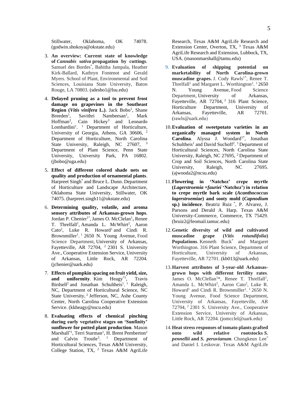Stillwater, Oklahoma, OK 74078. (godwin.shokoya@okstate.edu)

- 3. **An overview: Current state of knowledge of** *Cannabis sativa* **propagation by cuttings**. Samuel des Bordes\* , Babitha Jampala, Heather Kirk-Ballard, Kathryn Fontenot and Gerald Myers. School of Plant, Environmental and Soil Sciences, Louisiana State University, Baton Rouge, LA 70803. (sdesbo1@lsu.edu)
- 4. **Delayed pruning as a tool to prevent frost damage on grapevines in the Southeast Region** (*Vitis vinifera* L.). Jack Bobo<sup>1</sup>, Shane  $Breeden<sup>1</sup>$ . Savithri Nambeesan<sup>1</sup>, , Mark Hoffman<sup>2</sup>, Cain Hickey<sup>3</sup> and Leonardo Lombardini<sup>1</sup>. <sup>1</sup> Department of Horticulture, University of Georgia, Athens, GA 30606, <sup>2</sup> Department of Horticulture, North Carolina State University, Raleigh, NC 27607, <sup>3</sup> Department of Plant Science, Penn State University, University Park, PA 16802. (jbobo@uga.edu)
- 5. **Effect of different colored shade nets on quality and production of ornamental plants**. Harpreet Singh\* and Bruce L. Dunn. Department of Horticulture and Landscape Architecture, Oklahoma State University, Stillwater, OK 74075. [\(harpreet.singh11@okstate.edu\)](mailto:harpreet.singh11@okstate.edu)
- 6. **Determining quality, volatile, and aroma sensory attributes of Arkansas-grown hops**. Jordan P. Chenier<sup>1\*</sup>, James O. McClelan<sup>1</sup>, Renee T. Threlfall<sup>1</sup>, Amanda L. McWhirt<sup>2</sup>, Aaron  $\text{Cato}^2$ , Luke R. Howard<sup>1</sup> and Cindi R. Brownmiller<sup>1</sup>.<sup>1</sup> 2650 N. Young Avenue, Food Science Department, University of Arkansas, Fayetteville, AR 72704, <sup>2</sup> 2301 S. University Ave., Cooperative Extension Service, University of Arkansas, Little Rock, AR 72204. (jchenier@uark.edu)
- 7. **Effects of pumpkin spacing on fruit yield, size, and uniformity**. Kim **Heagy**<sup>\*1</sup>, , Travis Birdsell<sup>2</sup> and Jonathan Schultheis<sup>1</sup>.<sup>1</sup> Raleigh, NC, Department of Horticultural Science, NC State University, <sup>2</sup> Jefferson, NC, Ashe County Center, North Carolina Cooperative Extension Service. (kkheagy@nscu.edu)
- 8. **Evaluating effects of chemical pinching during early vegetative stages on 'Sunfinity' sunflower for potted plant production**. Mason Marshall\*<sup>1</sup>, Terri Starman<sup>1</sup>, H. Brent Pemberton<sup>2</sup> and Calvin Trostle<sup>3</sup>. <sup>1</sup> Department of Horticultural Sciences, Texas A&M University, College Station, TX, <sup>2</sup> Texas A&M AgriLife

Research, Texas A&M AgriLife Research and Extension Center, Overton, TX, <sup>3</sup> Texas A&M AgriLife Research and Extension, Lubbock, TX, USA. (masonmarshall@tamu.edu)

- 9. **Evaluation of shipping potential on marketability of North Carolina-grown** muscadine grapes. J. Cody Rawls<sup>1\*</sup>, Renee T. Threlfall<sup>1</sup> and Margaret L. Worthington<sup>2</sup>.<sup>1</sup> 2650 N. Young Avenue, Food Science Department, University of Arkansas, Fayetteville, AR 72704, <sup>2</sup> 316 Plant Science, Horticulture Department, University of Arkansas, Fayetteville, AR 72701. (rawls@uark.edu)
- 10.**Evaluation of sweetpotato varieties in an organically managed system in North**  Carolina. Alyssa J. Woodard<sup>1\*</sup>, Jonathan Schultheis<sup>1</sup> and David Suchoff<sup>2</sup>.<sup>1</sup> Department of Horticultural Sciences, North Carolina State University, Raleigh, NC 27695, <sup>2</sup> Department of Crop and Soil Sciences, North Carolina State University, Raleigh, NC 27695. (ajwooda2@ncsu.edu)
- 11.**Flowering in 'Natchez' crepe myrtle (***Lagerstroemia* **×***fauriei* **'Natchez') in relation to crepe myrtle bark scale (***Acanthococcus lagerstroemiae***) and sooty mold (***Capnodium* **sp.) incidence**. Beatriz Ruiz \* , P. Alvarez, J. Parsons and Derald A. Harp. Texas A&M University-Commerce, Commerce, TX 75429. (bruiz2@leomail.tamuc.edu)
- 12.**Genetic diversity of wild and cultivated muscadine grape (***Vitis rotundifolia***) Populations.** Kenneth Buck\* and Margaret Worthington. 316 Plant Science, Department of Horticulture, University of Arkansas, Fayetteville, AR 72701. (kb013@uark.edu)
- 13.**Harvest attributes of 3-year-old Arkansasgrown hops with different fertility rates**. James O. McClellan<sup>1\*</sup>, Renee T. Threlfall<sup>1</sup>, Amanda L. McWhirt<sup>2</sup>, Aaron Cato<sup>2</sup>, Luke R. Howard<sup>1</sup> and Cindi R. Brownmiller<sup>1</sup>.<sup>1</sup> 2650 N. Young Avenue, Food Science Department, University of Arkansas, Fayetteville, AR 72704, <sup>2</sup> 2301 S. University Ave., Cooperative Extension Service, University of Arkansas, Little Rock, AR 72204. (jomcclel@uark.edu)
- 14.**Heat stress responses of tomato plants grafted onto wild relative rootstocks** *S. pennellii* **and** *S. peruvianum.* Chungkeun Lee\* and Daniel I. Leskovar. Texas A&M AgriLife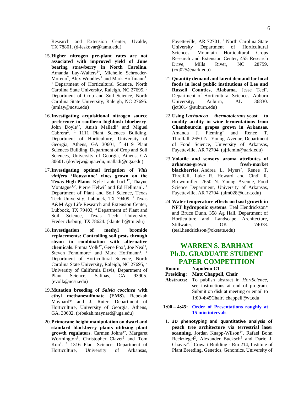Research and Extension Center, Uvalde, TX 78801. (d-leskovar@tamu.edu)

- 15.**Higher nitrogen pre-plant rates are not associated with improved yield of June bearing strawberry in North Carolina**. Amanda Lay-Walters<sup>1\*</sup>, Michelle Schroeder-Moreno<sup>2</sup>, Alex Woodley<sup>2</sup> and Mark Hoffmann<sup>1</sup>. <sup>1</sup> Department of Horticultural Science, North Carolina State University, Raleigh, NC 27695, <sup>2</sup> Department of Crop and Soil Science, North Carolina State University, Raleigh, NC 27695. (amlay@ncsu.edu)
- 16.**Investigating acquisitional nitrogen source preference in southern highbush blueberry**. John Doyle<sup>1\*</sup>, Anish Malladi<sup>1</sup> and Miguel Cabrera<sup>2</sup>. <sup>1</sup> 1111 Plant Sciences Building, Department of Horticulture, University of Georgia, Athens, GA  $30601$ , <sup>2</sup> 4119 Plant Sciences Building, Department of Crop and Soil Sciences, University of Georgia, Athens, GA 30601. (doylejw@uga.edu, malladi@uga.edu)
- 17.**Investigating optimal irrigation of** *Vitis vinifera* **'Roussanne' vines grown on the Texas High Plains**. Kyle Lauterbach<sup>1\*</sup>, Thayne Montague<sup>1,2</sup>, Pierre Helwi<sup>2</sup> and Ed Hellman<sup>1</sup>.<sup>1</sup> Department of Plant and Soil Science, Texas Tech University, Lubbock, TX 79409, <sup>2</sup> Texas A&M AgriLife Research and Extension Center, Lubbock, TX 79403, <sup>3</sup> Department of Plant and Soil Science, Texas Tech University, Fredericksburg, TX 78624. (klauterb@ttu.edu)
- 18.**Investigation of methyl bromide replacements: Controlling soil pests through steam in combination with alternative chemicals**. Emma  $Volk^{1*}$ , Gene Fox<sup>1</sup>, Joe Neal<sup>1</sup>, Steven Fennimore<sup>2</sup> and Mark Hoffmann<sup>1</sup>.<sup>1</sup> Department of Horticultural Science, North Carolina State University, Raleigh, NC 27695, <sup>2</sup> University of California Davis, Department of Plant Science, Salinas, CA 93905. (evolk@ncsu.edu)
- 19.**Mutation breeding of** *Salvia coccinea* **with ethyl methanesulfonate (EMS).** Rebekah Maynard\* and J. Ruter, Department of Horticulture, University of Georgia, Athens, GA, 30602. (rebekah.maynard@uga.edu)
- 20.**Primocane height manipulation on dwarf and standard blackberry plants utilizing plant**  growth regulators. Carmen Johns<sup>1\*</sup>, Margaret Worthington<sup>1</sup>, Christopher Clavet<sup>2</sup> and Tom Kon<sup>2</sup> . <sup>1</sup> 1316 Plant Science, Department of Horticulture, University of Arkansas,

Fayetteville, AR 72701, <sup>2</sup> North Carolina State University Department of Horticultural Sciences, Mountain Horticultural Crops Research and Extension Center, 455 Research Drive, Mills River, NC 28759. (cxj025@uark.edu)

- 21.**Quantity demand and latent demand for local foods in local public institutions of Lee and Russell Counties, Alabama**. Jesse Teel\* . Department of Horticultural Sciences, Auburn University, Auburn, AL 36830. [\(jct0014@auburn.edu\)](mailto:jct0014@auburn.edu)
- 22.**Using** *Lachancea thermotolerans* **yeast to modify acidity in wine fermentations from Chambourcin grapes grown in Arkansas**. Amanda J. Fleming\* and Renee T. Threlfall. 2650 N. Young Avenue, Department of Food Science, University of Arkansas, Fayetteville, AR 72704. (ajflemin@uark.edu)
- 23.**Volatile and sensory aroma attributes of arkansas-grown fresh-market blackberries**. Andrea L. Myers\* , Renee T. Threlfall, Luke R. Howard and Cindi R. Brownmiller. 2650 N. Young Avenue, Food Science Department, University of Arkansas, Fayetteville, AR 72704. (alm028@uark.edu)
- 24.**Water temperature effects on basil growth in NFT hydroponic systems**. Teal Hendrickson\* and Bruce Dunn. 358 Ag Hall, Department of Horticulture and Landscape Architecture, Stillwater, OK 74078. (teal.hendrickson@okstate.edu)

#### **WARREN S. BARHAM Ph.D. GRADUATE STUDENT PAPER COMPETITION**

| <b>Room:</b> | Napoleon C1                                                   |
|--------------|---------------------------------------------------------------|
|              | Presiding: Matt Chappell, Chair                               |
|              | <b>Abstracts:</b> To publish abstract in <i>HortScience</i> , |
|              | see instructions at end of program.                           |
|              | Submit on disk at meeting or email to                         |
|              | 1:00-4:45Chair: chappell@vt.edu                               |

#### **1:00 – 4:45: Order of Presentations roughly at 15 min intervals**

1. **3D phenotyping and quantitative analysis of peach tree architecture via terrestrial laser**  scanning. Jordan Knapp-Wilson<sup>1\*</sup>, Rafael Bohn Reckziegel<sup>2</sup>, Alexander Bucksch<sup>3</sup> and Dario J. Chavez<sup>4</sup>. <sup>1</sup> Cowart Building - Rm 214, Institute of Plant Breeding, Genetics, Genomics, University of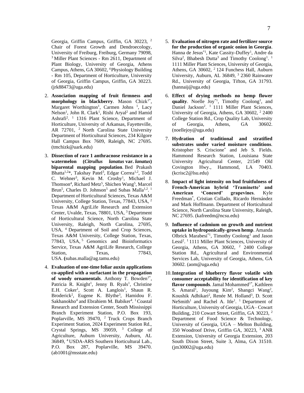Georgia, Griffin Campus, Griffin, GA 30223, <sup>2</sup> Chair of Forest Growth and Dendroecology, University of Freiburg, Freiburg, Germany 79098, <sup>3</sup> Miller Plant Sciences - Rm 2611, Department of Plant Biology, University of Georgia, Athens Campus, Athens, GA 30602, <sup>4</sup>Physiology Building - Rm 105, Department of Horticulture, University of Georgia, Griffin Campus, Griffin, GA 30223. (jrk88473@uga.edu)

- 2. **Association mapping of fruit firmness and morphology** in **blackberry**. Mason Chizk<sup>1\*</sup>, Margaret Worthington<sup>1</sup>, Carmen Johns<sup>1</sup>, Lacy Nelson<sup>1</sup>, John R. Clark<sup>1</sup>, Rishi Aryal<sup>2</sup> and Hamid Ashrafi<sup>2</sup>.<sup>1</sup> 1316 Plant Science, Department of Horticulture, University of Arkansas, Fayetteville, AR 72701, <sup>2</sup> North Carolina State University Department of Horticultural Sciences, 234 Kilgore Hall Campus Box 7609, Raleigh, NC 27695. (tmchizk@uark.edu)
- 3. **Dissection of race 1 anthracnose resistance in a watermelon (***Citrullus lanatus* **var.** *lanatus***) biparental mapping population**. Bed Prakash Bhatta<sup>1,2\*</sup>, Takshay Patel<sup>3</sup>, Edgar Correa<sup>1,2</sup>, Todd C. Wehner<sup>3</sup>, Kevin M. Crosby<sup>1</sup>, Michael J. Thomson<sup>4</sup>, Richard Metz<sup>5</sup>, Shichen Wang<sup>5</sup>, Marcel Brun<sup>5</sup>, Charles D. Johnson<sup>5</sup> and Subas Malla<sup>1,2</sup>.<sup>1</sup> Department of Horticultural Sciences, Texas A&M University, College Station, Texas, 77843, USA, <sup>2</sup> Texas A&M AgriLife Research and Extension Center, Uvalde, Texas, 78801, USA, <sup>3</sup> Department of Horticultural Science, North Carolina State University, Raleigh, North Carolina, 27695, USA, <sup>4</sup> Department of Soil and Crop Sciences, Texas A&M University, College Station, Texas, 77843, USA,<sup>5</sup> Genomics and Bioinformatics Service, Texas A&M AgriLife Research, College Station, Texas, 77843, USA. **(**subas.malla@ag.tamu.edu)
- 4. **Evaluation of one-time foliar auxin applications co-applied with a surfactant in the propagation**  of woody ornamentals. Anthony T. Bowden<sup>1\*</sup>, Patricia R. Knight<sup>1</sup>, Jenny B. Ryals<sup>1</sup>, Christine E.H. Coker<sup>1</sup>, Scott A. Langlois<sup>1</sup>, Shaun R. Broderick<sup>2</sup>, Eugene K. Blythe<sup>3</sup>, Hamidou F. Sakhanokho<sup>4</sup> and Ebrahiem M. Babiker<sup>4</sup>. <sup>1</sup> Coastal Research and Extension Center, South Mississippi Branch Experiment Station, P.O. Box 193, Poplarville, MS 39470, <sup>2</sup> Truck Crops Branch Experiment Station, 2024 Experiment Station Rd., Crystal Springs, MS 39059, <sup>3</sup> College of Agriculture, Auburn University, Auburn, AL 36849, <sup>4</sup>USDA-ARS Southern Horticultural Lab., P.O. Box 287, Poplarville, MS 39470. (ab1001@msstate.edu)
- 5. **Evaluation of nitrogen rate and fertilizer source for the production of organic onion in Georgia**. Hanna de Jesus<sup>\*1</sup>, Kate Cassity-Duffey<sup>1</sup>, Andre da Silva<sup>2</sup>, Bhabesh Dutta<sup>3</sup> and Timothy Coolong<sup>1</sup>.<sup>1</sup> 1111 Miller Plant Sciences, University of Georgia, Athens, GA 30602, <sup>2</sup> 124 Funchess Hall, Auburn University, Auburn, AL 36849, <sup>3</sup> 2360 Rainwater Rd., University of Georgia, Tifton, GA 31793. (hannaij@uga.edu)
- 6. **Effect of drying methods no hemp flower**  quality. Noelle  $\text{Joy}^{*1}$ , Timothy Coolong<sup>1</sup>, and Daniel Jackson<sup>2</sup>. <sup>1</sup> 1111 Miller Plant Sciences, University of Georgia, Athens, GA 30602, <sup>2</sup> 2400 College Station Rd., Crop Quality Lab, University of Georgia, Athens, GA 30602. (noellejoy@uga.edu)
- 7. **Hydration of traditional and stratified substrates under varied moisture conditions**. Kristopher S. Criscione\* and Jeb S. Fields. Hammond Research Station, Louisiana State University Agricultural Center, 21549 Old Covington Hwy., Hammond, LA 70403. (kcrisc2@lsu.edu)
- 8. **Impact of light intensity on bud fruitfulness of French-American hybrid 'Traminette' and American 'Concord' grapevines**. Kyle Freedman\* , Cristian Collado, Ricardo Hernández and Mark Hoffmann. Department of Horticultural Science, North Carolina State University, Raleigh, NC 27695. (kafreedm@ncsu.edu)
- 9. **Influence of cadmium on growth and nutrient uptake in hydroponically-grown hemp**. Amanda Olbrick Marabesi<sup>\*1</sup>, Timothy Coolong<sup>1</sup> and Jason Lessl<sup>2</sup>.<sup>1</sup> 1111 Miller Plant Sciences, University of Georgia, Athens, GA  $30602$ , <sup>2</sup> 2400 College Station Rd., Agricultural and Environmental Services Lab, University of Georgia, Athens, GA 30602. (aom@uga.edu)
- 10.**Integration of blueberry flavor volatile with consumer acceptability for identification of key**  flavor compounds. Jamal Mohammed<sup>1\*</sup>, Kathleen S. Amaral<sup>1</sup>, Juyoung Kim<sup>2</sup>, Shangci Wang<sup>2</sup>, Koushik Adhikari<sup>2</sup>, Renée M. Holland<sup>3</sup>, D. Scott NeSmith<sup>1</sup> and Rachel A. Itle<sup>1</sup>. <sup>1</sup> Department of Horticulture, University of Georgia, UGA– Cowart Building, 210 Cowart Street, Griffin, GA 30223, <sup>2</sup> Department of Food Science & Technology, University of Georgia, UGA – Melton Building, 350 Woodroof Drive, Griffin GA, 30223, <sup>3</sup>ANR Extension, University of Georgia Extension, 203 South Dixon Street, Suite 3, Alma, GA 31510. (jm30002@uga.edu)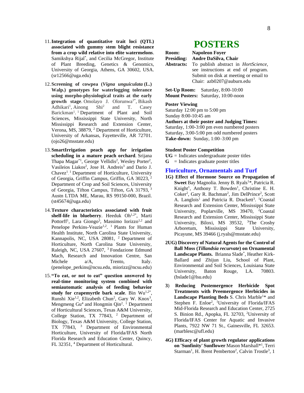- 11.**Integration of quantitative trait loci (QTL) associated with gummy stem blight resistance from a crop wild relative into elite watermelons**. Samikshya Rijal\* , and Cecilia McGregor, Institute of Plant Breeding, Genetics & Genomics, University of Georgia, Athens, GA 30602, USA. [\(sr12566@uga.edu\)](mailto:sr12566@uga.edu)
- 12.**Screening of cowpea (***Vigna unguiculata* **(L.) Walp.) genotypes for waterlogging tolerance using morpho-physiological traits at the early** growth stage. Omolayo J. Olorunwa<sup>1\*</sup>, Bikash Adhikari<sup>1</sup>, Ainong Shi<sup>2</sup> and T. Casey Barickman<sup>1</sup>.<sup>1</sup> Department of Plant and Soil Sciences, Mississippi State University, North Mississippi Research and Extension Center, Verona, MS, 38879, <sup>2</sup> Department of Horticulture, University of Arkansas, Fayetteville, AR 72701. (ojo26@msstate.edu)
- 13.**SmartIrrigation peach app for irrigation scheduling in a mature peach orchard**. Srijana Thapa Magar<sup>\*1</sup>, George Vellidis<sup>2</sup>, Wesley Porter<sup>2</sup>, Vasileios Liakos<sup>2</sup>, Jose H. Andreis<sup>3</sup> and Dario J. Chavez<sup>1</sup>.<sup>1</sup> Department of Horticulture, University of Georgia, Griffin Campus, Griffin, GA 30223, <sup>2</sup> Department of Crop and Soil Sciences, University of Georgia, Tifton Campus, Tifton, GA 31793, <sup>3</sup> Austn LTDA ME, Marau, RS 99150-000, Brazil. (st45674@uga.edu)
- 14.**Texture characteristics associated with fruit**  shelf-life in blueberry. Heeduk Oh<sup>1,2\*</sup>, Marti Pottorff<sup>1</sup>, Lara Giongo<sup>3</sup>, Massimo Iorizzo<sup>1,2</sup> and Penelope Perkins-Veazie<sup>1,2</sup>. <sup>1</sup> Plants for Human Health Institute, North Carolina State University, Kannapolis, NC, USA 28081, <sup>2</sup> Department of Horticulture, North Carolina State University, Raleigh, NC, USA 27607, <sup>3</sup> Fondazione Edmund Mach, Research and Innovation Centre, San Michele  $a/A$ , Trento, Italy. (penelope\_perkins@ncsu.edu, miorizz@ncsu.edu)
- 15.**"To eat, or not to eat" question answered by real-time monitoring system combined with semiautomatic analysis of feeding behavior**  study for crapemyrtle bark scale. Bin Wu<sup>1,2\*</sup>, Runshi Xie<sup>1,2</sup>, Elizabeth Chun<sup>2</sup>, Gary W. Knox<sup>3</sup>, Mengmeng  $Gu<sup>4</sup>$  and Hongmin Qin<sup>2</sup>.<sup>1</sup> Department of Horticultural Sciences, Texas A&M University, College Station, TX 77843, <sup>2</sup> Department of Biology, Texas A&M University, College Station, TX 77843, <sup>3</sup> Department of Environmental Horticulture, University of Florida/IFAS North Florida Research and Education Center, Quincy, FL 32351, <sup>4</sup> Department of Horticultural.

# **POSTERS**

| Room: | <b>Napoleon Foyer</b>                                                                                                                                                      |
|-------|----------------------------------------------------------------------------------------------------------------------------------------------------------------------------|
|       | Presiding: Andre DaSilva, Chair                                                                                                                                            |
|       | <b>Abstracts:</b> To publish abstract in <i>HortScience</i> ,<br>see instructions at end of program.<br>Submit on disk at meeting or email to<br>Chair: azb0207@auburn.edu |

**Set-Up Room:** Saturday, 8:00-10:00 **Mount Posters:** Saturday, 10:00-noon

#### **Poster Viewing**

Saturday 12:00 pm to 5:00 pm Sunday 8:00-10:45 am

**Authors at their poster and Judging Times:** Saturday, 1:00-3:00 pm even numbered posters Saturday, 3:00-5:00 pm odd numbered posters **Take-down:** Sunday, 1:00–3:00 pm

#### **Student Poster Competition**

**UG** = Indicates undergraduate poster titles

 $G = Indicates graduate poster titles$ 

#### **Floriculture, Ornamentals and Turf**

- **1G) Effect of Hormone Source on Propagation of Sweet** Bay Magnolia. Jenny B. Ryals<sup>1\*</sup>, Patricia R. Knight<sup>1</sup>, Anthony T. Bowden<sup>1</sup>, Christine E. H. Coker<sup>2</sup>, Gary R. Bachman<sup>2</sup>, Jim DelPrince<sup>2</sup>, Scott A. Langlois<sup>1</sup> and Patricia R. Drackett<sup>3</sup>. <sup>1</sup>Coastal Research and Extension Center, Mississippi State University, Poplarville, MS 39470, <sup>2</sup>Coastal Research and Extension Center, Mississippi State University, Biloxi, MS 39532, <sup>3</sup>The Crosby Arboretum, Mississippi State University, Picayune, MS 39466 [\(j.ryals@msstate.edu\)](mailto:j.ryals@msstate.edu)
- **2UG) Discovery of Natural Agents for the Control of Ball Moss (***Tillandsia recurvate***) on Ornamental Landscape Plants.** Brianna Slade\* , Heather Kirk-Ballard and Zhijun Liu, School of Plant, Environmental and Soil Sciences, Louisiana State University, Baton Rouge, LA. 70803. [\(bslade1@lsu.edu\)](mailto:bslade1@lsu.edu)
- **3**) **Reducing Postemergence Herbicide Spot Treatments with Preemergence Herbicides in**  Landscape Planting Beds S. Chris Marble<sup>1\*</sup> and Stephen F. Enloe<sup>2</sup>, <sup>1</sup>University of Florida/IFAS Mid-Florida Research and Education Center, 2725 S. Binion Rd., Apopka, FL 32703, <sup>2</sup>University of Florida/IFAS Center for Aquatic and Invasive Plants, 7922 NW 71 St., Gainesville, FL 32653. [\(marblesc@ufl.edu\)](mailto:marblesc@ufl.edu)
- **4G) Efficacy of plant growth regulator applications on 'Sunfinity' Sunflower** Mason Marshall\*<sup>1</sup> , Terri Starman<sup>1</sup>, H. Brent Pemberton<sup>2</sup>, Calvin Trostle<sup>3</sup>, 1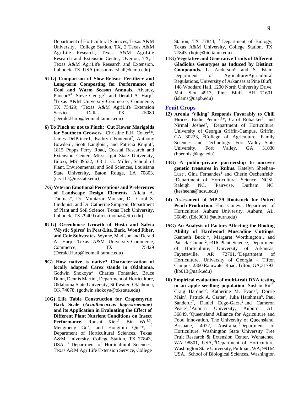Department of Horticultural Sciences, Texas A&M University, College Station, TX, 2 Texas A&M AgriLife Research, Texas A&M AgriLife Research and Extension Center, Overton, TX, <sup>3</sup> Texas A&M AgriLife Research and Extension, Lubbock, TX, USA (masonmarshall@tamu.edu)

- **5UG) Comparison of Slow-Release Fertilizer and Long-term Composting for Performance of Cool and Warm Season Annuals.** Alvarez, Phoebe<sup>\*1</sup>, Steve George<sup>2</sup>, and Derald A. Harp<sup>1</sup>. <sup>1</sup>Texas A&M University-Commerce, Commerce, TX 75429; <sup>2</sup>Texas A&M AgriLife Extension Service, Dallas, TX 75080 [\(Derald.Harp@leomail.tamuc.edu\)](mailto:Derald.Harp@leomail.tamuc.edu)
- **6) To Pinch or not to Pinch: Cut Flower Marigolds**  for Southern Growers. Christine E.H. Coker<sup>1\*</sup>, James DelPrince1, Kathryn Fontenot<sup>2</sup>, Anthony Bowden<sup>1</sup>, Scott Langlois<sup>1</sup>, and Patricia Knight<sup>1</sup>, 1815 Popps Ferry Road, Coastal Research and Extension Center, Mississippi State University, Biloxi, MS 39532, [163 J. C. Miller](http://maps.google.com/?q=163%20J.%20C.%20MillerBaton%20RougeLA70803) , School of Plant, Environmental and Soil Sciences, Louisiana State University, Baton Rouge, LA 70803. [\(cec117@msstate.edu\)](mailto:cec117@msstate.edu)
- **7G) Veteran Emotional Perceptions and Preferences of Landscape Design Elements.** Alicia A. Thomas\*, Dr. Muntazar Monsur, Dr. Carol S. Lindquist, and Dr. Catherine Simpson, Department of Plant and Soil Science, Texas Tech University, Lubbock, TX 79409 [\(alicia.thomas@ttu.edu\)](mailto:alicia.thomas@ttu.edu)
- **8UG) Greenhouse Growth of Hosta and Salvia 'Mystic Spires' in Peat-Lite, Bark, Wood Fiber, and Coir Substrates**. Wynne, Madison and Derald A. Harp. Texas A&M University-Commerce, Commerce, TX 75429 [\(Derald.Harp@leomail.tamuc.edu\)](mailto:Derald.Harp@leomail.tamuc.edu)
- **9G) How native is native? Characterization of locally adapted Carex stands in Oklahoma.** Godwin Shokoya\*, Charles Fontanier, Bruce Dunn, Dennis Martin., Department of Horticulture, Oklahoma State University, Stillwater, Oklahoma, OK 74078. [\(godwin.shokoya@okstate.edu\)](mailto:godwin.shokoya@okstate.edu)
- **10G) Life Table Construction for Crapemyrtle Bark Scale (***Acanthococcus lagerstroemiae***) and its Application in Evaluating the Effect of Different Plant Nutrient Conditions on Insect Performance.** Runshi Xie<sup>1,3</sup>, Bin Wu<sup>1,3</sup>, Mengmeng  $Gu^2$ , and Hongmin  $Qin^{3*}$ ,  $\frac{1}{2}$ Department of Horticultural Sciences, Texas A&M University, College Station, TX 77843, USA, <sup>2</sup> Department of Horticultural Sciences, Texas A&M AgriLife Extension Service, College

Station, TX 77843, <sup>3</sup> Department of Biology, Texas A&M University, College Station, TX 77843. (hqin@bio.tamu.edu)

**11G) Vegetative and Generative Traits of Different Gladiolus Genotypes as Induced by Distinct Compounds.** L. Anderson\* and S. Islam Department of Agriculture/Agricultural Regulations, University of Arkansas at Pine Bluff, 148 Woodard Hall, 1200 North University Drive, Mail Slot 4913, Pine Bluff, AR 71601 (islams@uapb.edu)

#### **Fruit Crops**

- **12) Aronia 'Viking' Responds Favorably to Chill**  Hours. Bodie Pennisi<sup>1\*</sup>, Carol Robacker<sup>1</sup>, and Nirmal Joshee<sup>2</sup>, <sup>1</sup>Department of Horticulture, University of Georgia Griffin-Campus, Griffin, GA 30223, <sup>2</sup>College of Agriculture, Family Sciences and Technology, Fort Valley State University, Fort Valley, GA 31030 [\(bpennisi@uga.edu\)](mailto:bpennisi@uga.edu)
- **13G) A public-private partnership to uncover genetic treasures in Rubus.** Katelyn Sheehan-Lust<sup>1</sup>, Gina Fernandez<sup>1</sup> and Cherie Oschenfeld<sup>2</sup>. <sup>1</sup>Department of Horticultural Science, NCSU Raleigh NC, <sup>2</sup>Pairwise, Durham NC. [\(kesheeha@ncsu.edu\)](mailto:kesheeha@ncsu.edu)
- **14) Assessment of MP-29 Rootstock for Potted Peach Production**. Elina Coneva, Department of Horticulture, Auburn University, Auburn, AL, 36849. [\(Edc0001@auburn.edu\)](mailto:Edc0001@auburn.edu)
- **15G) An Analysis of Factors Affecting the Rooting Ability of Hardwood Muscadine Cuttings.** Kenneth Buck<sup>1\*</sup>, Margaret Worthington<sup>1</sup>, and Patrick Conner<sup>2</sup>, <sup>1</sup>316 Plant Science, Department of Horticulture, University of Arkansas, Fayetteville, AR 72701, <sup>2</sup>Department of Horticulture, University of Georgia – Tifton Campus, 2360 Rainwater Road, Tifton, GA,31793. [\(kb013@uark.edu\)](mailto:kb013@uark.edu)
- **16) Empirical evaluation of multi-trait DNA testing**  in an apple seedling population. Sushan  $Ru<sup>1</sup>$ <sup>\*</sup>, Craig Hardner<sup>2</sup>, Katherine M. Evans<sup>3</sup>, Dorrie Main<sup>4</sup>, Patrick A. Carter<sup>5</sup>, Julia Harshman<sup>6</sup>, Paul Sandefur<sup>7</sup>, Daniel Edge-Garza<sup>2</sup> and Cameron Peace<sup>4</sup>, <sup>1</sup>Auburn University, Auburn, AL, 36849, <sup>2</sup>Queensland Alliance for Agriculture and Food Innovation, The University of Queensland, Brisbane, 4072, Australia, 3Department of Horticulture, Washington State University Tree Fruit Research & Extension Center, Wenatchee, WA 98801, USA, <sup>4</sup>Department of Horticulture, Washington State University, Pullman, WA, 99164 USA, <sup>5</sup>School of Biological Sciences, Washington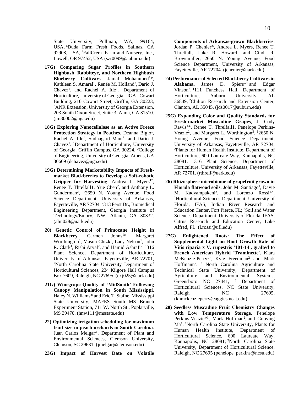State University, Pullman, WA, 99164, USA, <sup>6</sup>Duda Farm Fresh Foods, Salinas, CA 92908, USA, <sup>7</sup>FallCreek Farm and Nursery, Inc., Lowell, OR 97452, USA [\(szr0099@auburn.edu\)](mailto:szr0099@auburn.edu)

- **17G) Comparing Sugar Profiles in Southern Highbush, Rabbiteye, and Northern Highbush Blueberry Cultivars.** Jamal Mohammed<sup>1\*</sup>, Kathleen S. Amaral<sup>1</sup>, Renée M. Holland<sup>2</sup>, Dario J. Chavez<sup>1</sup>, and Rachel A. Itle<sup>1</sup>. <sup>1</sup>Department of Horticulture, University of Georgia, UGA– Cowart Building, 210 Cowart Street, Griffin, GA 30223, <sup>2</sup>ANR Extension, University of Georgia Extension, 203 South Dixon Street, Suite 3, Alma, GA 31510. [\(jm30002@uga.edu\)](mailto:jm30002@uga.edu)
- **18G) Exploring Nanocellulose as an Active Freeze**  Protection Strategy in Peaches. Deanna Bigio<sup>1</sup>, Rachel A. Itle<sup>1</sup>, Sudhagard Mani<sup>2</sup>, and Dario J. Chavez<sup>1</sup>. <sup>1</sup>Department of Horticulture, University of Georgia, Griffin Campus, GA 30224. <sup>2</sup>College of Engineering, University of Georgia, Athens, GA 30609 [\(dchavez@uga.edu\)](mailto:dchavez@uga.edu)
- **19G) Determining Marketability Impacts of Freshmarket Blackberries to Develop a Soft-robotic**  Gripper for Harvesting. Andrea L. Myers<sup>1\*</sup>, Renee T. Threlfall1, Yue Chen<sup>2</sup>, and Anthony L. Gunderman<sup>2</sup>, <sup>1</sup>2650 N. Young Avenue, Food Science Department, University of Arkansas, Fayetteville, AR 72704. <sup>2</sup>313 Ferst Dr., Biomedical Engineering Department, Georgia Institute of Technology/Emory, NW, Atlanta, GA 30332. [\(alm028@uark.edu\)](mailto:alm028@uark.edu)
- **20) Genetic Control of Primocane Height in Blackberry.** Carmen Johns<sup>1\*</sup>, Margaret Worthington<sup>1</sup>, Mason Chizk<sup>1</sup>, Lacy Nelson<sup>1</sup>, John R. Clark<sup>1</sup>, Rishi Aryal<sup>2</sup>, and Hamid Ashrafi<sup>2</sup>. <sup>1</sup>316 Plant Science, Department of Horticulture, University of Arkansas, Fayetteville, AR 72701, <sup>2</sup>North Carolina State University Department of Horticultural Sciences, 234 Kilgore Hall Campus Box 7609, Raleigh, NC 27695. [\(cxj025@uark.edu\)](mailto:cxj025@uark.edu)
- **21G) Winegrape Quality of 'MidSouth' Following Canopy Manipulation in South Mississippi.** Haley N. Williams\* and Eric T. Stafne. Mississippi State University, MAFES South MS Branch Experiment Station, 711 W. North St., Poplarville, MS 39470. [\(hnw111@msstate.edu\)](mailto:hnw111@msstate.edu)
- **22) Optimizing irrigation scheduling for maximum fruit size in peach orchards in South Carolina**. Juan Carlos Melgar\*, Department of Plant and Environmental Sciences, Clemson University, Clemson, SC 29631. [\(jmelgar@clemson.edu\)](mailto:jmelgar@clemson.edu)
- **23G) Impact of Harvest Date on Volatile**

**Components of Arkansas-grown Blackberries**. Jordan P. Chenier\*, Andrea L. Myers, Renee T. Threlfall, Luke R. Howard, and Cindi R. Brownmiller, 2650 N. Young Avenue, Food Science Department, University of Arkansas, Fayetteville, AR 72704. [\(jchenier@uark.edu\)](mailto:jchenier@uark.edu)

- **24) Performance of Selected Blackberry Cultivars in**  Alabama. James D. Spiers\*<sup>1</sup> and Edgar Vinson<sup>2</sup>, <sup>1</sup>111 Funchess Hall, Department of Horticulture, Auburn University, AL 36849, <sup>2</sup>Chilton Research and Extension Center, Clanton, AL 35045. [\(jds0017@auburn.edu\)](mailto:jds0017@auburn.edu)
- **25G) Expanding Color and Quality Standards for Fresh-market Muscadine Grapes**, J. Cody Rawls1\*, Renee T. Threlfall1, Penelope Perkins-Veazie<sup>2</sup>, and Margaret L. Worthington<sup>3</sup>. <sup>1</sup>2650 N. Young Avenue, Food Science Department, University of Arkansas, Fayetteville, AR 72704, <sup>2</sup>Plants for Human Health Institute, Department of Horticulture, 600 Laureate Way, Kannapolis, NC 28081. <sup>3</sup>316 Plant Science, Department of Horticulture, University of Arkansas, Fayetteville, AR 72701. [\(rthrelf@uark.edu\)](mailto:rthrelf@uark.edu)
- **26) Rhizosphere microbiome of grapefruit grown in**  Florida flatwood soils. John M. Santiago<sup>1</sup>, Davie M. Kadyampakeni<sup>2</sup>, and Lorenzo Rossi<sup>1,\*</sup>. <sup>1</sup>Horticultural Sciences Department, University of Florida, IFAS, Indian River Research and Education Center, Fort Pierce, FL; <sup>2</sup>Soil and Water Sciences Department, University of Florida, IFAS, Citrus Research and Education Center, Lake Alfred, FL. [\(l.rossi@ufl.edu\)](mailto:l.rossi@ufl.edu)
- **27G) Enlightened Roots: The Effect of Supplemental Light on Root Growth Rate of Vitis riparia x V. rupestris '101-14', grafted to French American Hybrid 'Traminette'.** Kiara McKenzie-Perry<sup>1\*</sup>, Kyle Freedman<sup>2</sup> and Mark Hoffmann<sup>2</sup>. <sup>1</sup> North Carolina Agriculture and Technical State University, Department of Agriculture and Environmental Systems, Greensboro NC 27441,  $2$  Department of Horticultural Sciences, NC State University, Raleigh NC 27695. [\(knmckenzieperry@aggies.ncat.edu\)](mailto:knmckenzieperry@aggies.ncat.edu).
- **28) Seedless Muscadine Fruit Chemistry Changes with Low Temperature Storage**. Penelope Perkins-Veazie<sup>\*1</sup>, Mark Hoffman<sup>2</sup>, and Guoying Ma<sup>1</sup>. <sup>1</sup>North Carolina State University, Plants for Human Health Institute, Department of Horticultural Science, 600 Laureate Way, Kannapolis, NC 28081; <sup>2</sup>North Carolina State University, Department of Horticultural Science, Raleigh, NC 27695 [\(penelope\\_perkins@ncsu.edu\)](mailto:penelope_perkins@ncsu.edu)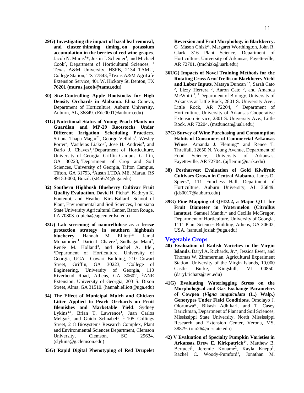- **29G) Investigating the impact of basal leaf removal, and cluster thinning timing, on potassium accumulation in the berries of red wine grapes**. Jacob N. Muras<sup>1\*</sup>, Justin J. Scheiner<sup>1</sup>, and Michael Cook<sup>2</sup>, Department of Horticultural Sciences, <sup>1</sup> Texas A&M University, HSFB, 2134 TAMU, College Station, TX 77843, <sup>2</sup>Texas A&M AgriLife Extension Service, 401 W. Hickory St. Denton, TX **76201 [\(muras.jacob@tamu.edu\)](mailto:muras.jacob@tamu.edu)**
- **30) Size-Controlling Apple Rootstocks for High Density Orchards in Alabama**. Elina Coneva, Department of Horticulture, Auburn University, Auburn, AL, 36849. [\(Edc0001@auburn.edu\)](mailto:Edc0001@auburn.edu)
- **31G) Nutritional Status of Young Peach Plants on Guardian and MP-29 Rootstocks Under Different Irrigation Scheduling Practice**s. Srijana Thapa Magar<sup>\*1</sup>, George Vellidis<sup>2</sup>, Wesley Porter<sup>2</sup>, Vasileios Liakos<sup>2</sup>, Jose H. Andreis<sup>3</sup>, and Dario J. Chavez<sup>1</sup>, <sup>1</sup>Department of Horticulture, University of Georgia, Griffin Campus, Griffin, GA 30223, <sup>2</sup>Department of Crop and Soil Sciences, University of Georgia, Tifton Campus, Tifton, GA 31793, <sup>3</sup>Austn LTDA ME, Marau, RS 99150-000, Brazil. [\(st45674@uga.edu\)](mailto:st45674@uga.edu)
- **32) Southern Highbush Blueberry Cultivar Fruit Quality Evaluation**. David H. Picha\*, Kathryn K. Fontenot, and Heather Kirk-Ballard. School of Plant, Environmental and Soil Sciences, Louisiana State University Agricultural Center, Baton Rouge, LA 70803. [\(dpicha@agcenter.lsu.edu\)](mailto:dpicha@agcenter.lsu.edu)
- **33G) Lab screening of nanocellulose as a freeze protection strategy in southern highbush blueberry.** Hannah M. Elliott<sup>1\*</sup>, Jamal Mohammed<sup>1</sup>, Dario J. Chavez<sup>1</sup>, Sudhagar Mani<sup>2</sup>, Renée M. Holland<sup>3</sup>, and Rachel A. Itle<sup>1</sup>, <sup>1</sup>Department of Horticulture, University of Georgia, UGA– Cowart Building, 210 Cowart<br>Street, Griffin, GA 30223, <sup>2</sup>College of Street, Griffin, GA 30223, Engineering, University of Georgia, 110 Riverbend Road, Athens, GA 30602, <sup>3</sup>ANR Extension, University of Georgia, 203 S. Dixon Street, Alma, GA 31510. [\(hannah.elliott@uga.edu\)](mailto:hannah.elliott@uga.edu)
- **34) The Effect of Municipal Mulch and Chicken Litter Applied to Peach Orchards on Fruit Blemishes and Marketable Yield**. Sydney Lykins<sup>\*1</sup>, Brian T. Lawrence<sup>1</sup>, Juan Carlos Melgar<sup>1</sup>, and Guido Schnabel<sup>1</sup>. <sup>1</sup> 105 Collings Street, 218 Biosystems Research Complex, Plant and Environmental Sciences Department, Clemson University, Clemson, SC 29634. [\(slykins@g.clemson.edu\)](mailto:slykins@g.clemson.edu)
- **35G) Rapid Digital Phenotyping of Red Drupelet**

**Reversion and Fruit Morphology in Blackberry.** G Mason Chizk\*, Margaret Worthington, John R. Clark. 316 Plant Science, Department of Horticulture, University of Arkansas, Fayetteville, AR 72701. [\(tmchizk@uark.edu\)](mailto:tmchizk@uark.edu)

- **36UG) Impacts of Novel Training Methods for the Rotating Cross Arm Trellis on Blackberry Yield**  and Labor Inputs. Mataya Duncan<sup>1\*</sup>, Sarah Cato <sup>2</sup>, Lizzy Herrera<sup>2</sup>, Aaron Cato<sup>2</sup>, and Amanda McWhirt<sup>2</sup>,<sup>1</sup> Department of Biology, University of Arkansas at Little Rock, 2801 S. University Ave., Little Rock, AR 72204, <sup>2</sup> Department of Horticulture, University of Arkansas Cooperative Extension Service, 2301 S. University Ave., Little Rock, AR 72204. [\(msduncan@ualr.edu\)](mailto:msduncan@ualr.edu)
- **37G) Survey of Wine Purchasing and Consumption Habits of Consumers of Commercial Arkansas Wines**. Amanda J. Fleming\* and Renee T. Threlfall, 12650 N. Young Avenue, Department of Food Science, University of Arkansas, Fayetteville, AR 72704. [\(ajflemin@uark.edu\)](mailto:ajflemin@uark.edu)
- **38) Postharvest Evaluation of Gold Kiwifruit Cultivars Grown in Central Alabama**. James D. Spiers\*, 111 Funchess Hall, Department of Horticulture, Auburn University, AL 36849. [\(jds0017@auburn.edu\)](mailto:jds0017@auburn.edu)
- **39G) Fine Mapping of QFD2.2, a Major QTL for Fruit Diameter in Watermelon (Citrullus lanatus).** Samuel Manthi\* and Cecilia McGregor, Department of Horticulture, University of Georgia, 1111 Plant Sciences Building, Athens, GA 30602, USA. [\(samuel.josiah@uga.edu\)](mailto:samuel.josiah@uga.edu)

#### **Vegetable Crops**

- **40) Evaluation of Radish Varieties in the Virgin Islands.** Daryl A. Richards, Jr.\*, Jessica Ewer, and Thomas W. Zimmerman, Agricultural Experiment Station, University of the Virgin Islands, 10,000 Castle Burke, Kingshill, VI 00850. [\(daryl.richars@uvi.edu\)](mailto:daryl.richars@uvi.edu)
- **41G) Evaluating Waterlogging Stress on the Morphological and Gas Exchange Parameters of Cowpea (***Vigna unguiculata* **(L.) Walp.) Genotypes Under Field Conditions**. Omolayo J. Olorunwa\*, Bikash Adhikari, and T. Casey Barickman, Department of Plant and Soil Sciences, Mississippi State University, North Mississippi Research and Extension Center, Verona, MS, 38879. [\(ojo26@msstate.edu\)](mailto:omo26@msstate.edu)
- **42) V Evaluation of Specialty Pumpkin Varieties in Arkansas. Drew E. Kirkpatrick<sup>1</sup>**\* , Matthew B. Bertucci<sup>1</sup>, Jeremie Kouame<sup>2</sup>, Kayla Knepp<sup>1</sup>, Rachel C. Woody-Pumford<sup>1</sup>, Jonathan M.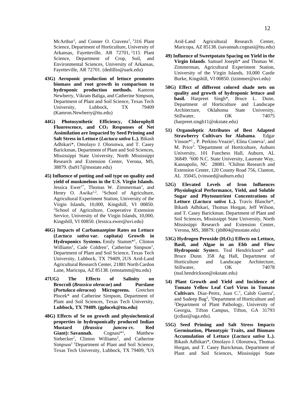McArthur<sup>1</sup>, and Conner O. Cravens<sup>1</sup>, <sup>1</sup>316 Plant Science, Department of Horticulture, University of Arkansas, Fayetteville, AR 72701, <sup>2</sup>115 Plant Science, Department of Crop, Soil, and Environmental Sciences, University of Arkansas, Fayetteville, AR 72701. [\(dedillio@uark.edu\)](mailto:dedillio@uark.edu)

- **43G) Aeroponic production of lettuce promotes biomass and root growth in comparison to hydroponic production methods.** Kamron Newberry, Vikram Baliga, and Catherine Simpson, Department of Plant and Soil Science, Texas Tech University, Lubbock, TX 79409 [\(Kamron.Newberry@ttu.edu\)](mailto:Kamron.Newberry@ttu.edu)
- **44G) Photosynthetic Efficiency, Chlorophyll Fluorescence, and CO<sup>2</sup> Responses of Net Assimilation are Impacted by Seed Priming and Salt Stress in Lettuce (***Lactuca sativa* **L.).** Bikash Adhikari\*, Omolayo J. Olorunwa, and T. Casey Barickman, Department of Plant and Soil Sciences, Mississippi State University, North Mississippi Research and Extension Center, Verona, MS, 38879. [\(ba917@msstate.edu\)](mailto:ba917@msstate.edu)
- **45) Influence of potting and soil type on quality and yield of muskmelons in the U.S. Virgin Islands.** Jessica Ewer<sup>1\*</sup>, Thomas W. Zimmerman<sup>1</sup>, and Henry O. Awika<sup>1,2</sup>. <sup>1</sup>School of Agriculture, Agricultural Experiment Station, University of the Virgin Islands, 10,000, Kingshill, VI 00850. <sup>2</sup>School of Agriculture, Cooperative Extension Service, University of the Virgin Islands, 10,000, Kingshill, VI 00850. [\(Jessica.ewer@uvi.edu\)](mailto:Jessica.ewer@uvi.edu)
- **46G) Impacts of Carbamazepine Rates on Lettuce (***Lactuca sativa* **var. capitata) Growth in**  Hydroponics Systems. Emily Stamm<sup>\*1</sup>, Clinton Williams<sup>2</sup>, Cade Coldren<sup>1</sup>, Catherine Simpson<sup>1</sup>, Department of Plant and Soil Science, Texas Tech University, Lubbock, TX 79409, 2US Arid-Land Agricultural Research Center, 21881 North Cardon Lane, Maricopa, AZ 85138. [\(emstamm@ttu.edu\)](mailto:emstamm@ttu.edu)
- **47UG) The Effects of Salinity on Broccoli (***Brassica oleracae***) and Purslane (***Portulaca oleracea***) Microgreens.** Gretchen Plocek\* and Catherine Simpson, Department of Plant and Soil Sciences, Texas Tech University, **Lubbock, TX 79409. [\(gplocek@ttu.edu\)](mailto:gplocek@ttu.edu)**
- **48G) Effects of Se on growth and physiochemical properties in hydroponically produced Indian Mustard (***Brassica juncea* **cv. Red**  Giant): Savannah. Cognasi<sup>\*1</sup>, , Matthew Siebecker<sup>1</sup>, Clinton Williams<sup>2</sup>, and Catherine Simpson<sup>1</sup> <sup>1</sup>Department of Plant and Soil Science, Texas Tech University, Lubbock, TX 79409, <sup>2</sup>US

Arid-Land Agricultural Research Center, Maricopa, AZ 85138. [\(savannah.cognasi@ttu.edu\)](mailto:savannah.cognasi@ttu.edu)

- **49) Influence of Sweetpotato Spacing on Yield in the Virgin Islands**. Samuel Joseph\* and Thomas W. Zimmerman, Agricultural Experiment Station, University of the Virgin Islands, 10,000 Castle Burke, Kingshill, VI 00850. [\(tzimmer@uvi.edu\)](mailto:tzimmer@uvi.edu)
- **50G) Effect of different colored shade nets on quality and growth of hydroponic lettuce and basil.** Harpreet Singh\*, Bruce L. Dunn. Department of Horticulture and Landscape Architecture, Oklahoma State University, Stillwater, OK 74075 [\(harpreet.singh11@okstate.edu\)](mailto:harpreet.singh11@okstate.edu)
- **51) Organoleptic Attributes of Best Adapted Strawberry Cultivars for Alabama**. Edgar Vinson<sup>\*1</sup>., P. Perkins-Veazie<sup>2</sup>, Elina Coneva<sup>1</sup>, and M. Price<sup>3</sup>. <sup>1</sup>Department of Horticulture, Auburn University, 101 Funchess Hall, Auburn, AL 36849. <sup>2</sup>600 N.C. State University, Laureate Way, Kannapolis, NC 28081. <sup>3</sup>Chilton Research and Extension Center, 120 County Road 756, Clanton, AL 35045, [\(vinsoed@auburn.edu\)](mailto:vinsoed@auburn.edu)
- **52G) Elevated Levels of Iron Influences Physiological Performance, Yield, and Soluble Sugar and Phytonutrient Concentrations of Lettuce (***Lactuca sativa* **L.).** Travis Blanche\*, Bikash Adhikari, Thomas Horgan, Jeff Wilson, and T. Casey Barickman. Department of Plant and Soil Sciences, Mississippi State University, North Mississippi Research and Extension Center, Verona, MS, 38879. [\(jtb804@msstate.edu\)](mailto:jtb804@msstate.edu)
- **53G) Hydrogen Peroxide (H2O2) Effects on Lettuce, Basil, and Algae in an Ebb and Flow Hydroponic Syste**m. Teal Hendrickson\* and Bruce Dunn. 358 Ag Hall, Department of Horticulture and Landscape Architecture, Stillwater. OK 74078 [\(teal.hendrickson@okstate.edu\)](mailto:teal.hendrickson@okstate.edu)
- **54) Plant Growth and Yield and Incidence of Tomato Yellow Leaf Curl Virus in Tomato Cultivars.** Diaz-Perez, Juan C.<sup>1</sup>, Calob Guerra<sup>1</sup>, and Sudeep Bag<sup>2</sup> , <sup>1</sup>Department of Horticulture and <sup>2</sup>Department of Plant Pathology, University of Georgia, Tifton Campus, Tifton, GA 31793 [\(jcdiaz@uga.edu\)](mailto:jcdiaz@uga.edu).
- **55G) Seed Priming and Salt Stress Impacts Germination, Phenotypic Traits, and Biomass Accumulation of Lettuce (***Lactuca sativa* **L.).**  Bikash Adhikari\*, Omolayo J. Olorunwa, Thomas Horgan, and T. Casey Barickman, Department of Plant and Soil Sciences, Mississippi State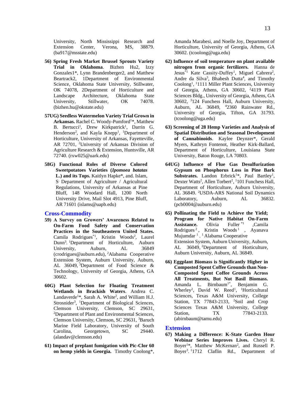University, North Mississippi Research and Extension Center, Verona, MS, 38879. [\(ba917@msstate.edu\)](mailto:ba917@msstate.edu)

- **56) Spring Fresh Market Brussel Sprouts Variety Trial in Oklahoma**. Bizhen Hu2, Izzy Gonzales1\*, Lynn Brandenberger2, and Matthew Beartrack2, 1Department of Environmental Science, Oklahoma State University, Stillwater, OK 74078, 2Department of Horticulture and Landscape Architecture, Oklahoma State University, Stillwater, OK 74078. [\(bizhen.hu@okstate.edu\)](mailto:bizhen.hu@okstate.edu)
- **57UG) Seedless Watermelon Variety Trial Grown in** Arkansas. Rachel C. Woody-Pumford<sup>1\*</sup>, Matthew B. Bertucci<sup>1</sup>, Drew Kirkpatrick<sup>1</sup>, Darrin G. Henderson<sup>2</sup>, and Kayla Knepp<sup>1</sup>, <sup>1</sup>Department of Horticulture, University of Arkansas, Fayetteville, AR 72701, <sup>2</sup>University of Arkansas Division of Agriculture Research & Extension, Huntsville, AR 72740. [\(rxw025@uark.edu\)](mailto:rxw025@uark.edu)
- **58G) Functional Roles of Diverse Colored Sweetpotatoes Varieties (***Ipomoea batatas* **L.) and its Tops.** Kaitlyn Hapke\*, and. Islam, S . Department of Agriculture / Agricultural Regulations, University of Arkansas at Pine Bluff, 148 Woodard Hall, 1200 North University Drive, Mail Slot 4913, Pine Bluff, AR 71601 (islams@uapb.edu)

#### **Cross-Commodity**

- **59) A Survey on Growers' Awareness Related to On-Farm Food Safety and Conservation Practices in the Southeastern United States.** Camila Rodrigues<sup>\*1</sup>, Kristin Woods<sup>2</sup>, Laurel Dunn<sup>3</sup> . <sup>1</sup>Department of Horticulture, Auburn University, Auburn, AL 36849 [\(crodrigues@auburn.edu\),](mailto:crodrigues@auburn.edu)) <sup>2</sup>Alabama Cooperative Extension System, Auburn University, Auburn, AL 36049, <sup>3</sup>Department of Food Science & Technology, University of Georgia, Athens, GA 30602.
- **60G) Plant Selection for Floating Treatment Wetlands in Brackish Waters**. Andrea C. Landaverde<sup>1\*</sup>, Sarah A. White<sup>2</sup>, and William H.J. Strosnider<sup>3</sup>, <sup>1</sup>Department of Biological Sciences, Clemson University, Clemson, SC 29631, <sup>2</sup>Department of Plant and Environmental Sciences, Clemson University, Clemson, SC 29631, <sup>3</sup>Baruch Marine Field Laboratory, University of South Carolina, Georgetown, SC 29440. [\(alandav@clemson.edu\)](mailto:alandav@clemson.edu)
- **61) Impact of preplant fumigation with Pic-Clor 60 on hemp yields in Georgia.** Timothy Coolong\*,

Amanda Marabesi, and Noelle Joy, Department of Horticulture, University of Georgia, Athens, GA 30602. [\(tcoolong@uga.edu\)](mailto:tcoolong@uga.edu)

- **62) Influence of soil temperature on plant available nitrogen from organic fertilizers.** Hanna de Jesus<sup>\*1</sup> Kate Cassity-Duffey<sup>1</sup>, Miguel Cabrera<sup>2</sup>, Andre da Silva<sup>3</sup>, Bhabesh Dutta<sup>4</sup>, and Timothy Coolong<sup>1</sup> , <sup>1</sup>1111 Miller Plant Sciences, University of Georgia, Athens, GA 30602, <sup>2</sup>4119 Plant Sciences Bldg., University of Georgia, Athens, GA 30602, <sup>3</sup>124 Funchess Hall, Auburn University, Auburn, AL 36849, <sup>4</sup>2360 Rainwater Rd., University of Georgia, Tifton, GA 31793. [\(tcoolong@uga.edu\)](mailto:tcoolong@uga.edu)
- **63) Screening of 28 Hemp Varieties and Analysis of Spatial Distribution and Seasonal Development of Cannabinoids**. Kaylee Deynzer\*, Gerald Myers, Kathryn Fontenot, Heather Kirk-Ballard, Department of Horticulture, Louisiana State University, Baton Rouge, LA 70803.
- **64UG) Influence of Flue Gas Desulfurization Gypsum on Phosphorus Loss in Pine Bark Substrates.** Landon Erbrick<sup>1\*</sup>, Paul Bartley<sup>1</sup>, Dexter Watts<sup>2</sup>, Allen Torbert<sup>2</sup>, <sup>1</sup>101 Funchess Hall, Department of Horticulture, Auburn University, AL 36849. <sup>2</sup>USDA-ARS National Soil Dynamics Laboratory, Auburn, AL 36832. [\(pcb0004@auburn.edu\)](mailto:pcb0004@auburn.edu)
- **65) Pollinating the Field to Achieve the Yield; Program for Native Habitat On-Farm Assistance.** Olivia Fuller<sup>\*1</sup> ,Camila<br>Rodrigues<sup>2</sup>, Kristin Woods<sup>1</sup>, Ayanaya Rodrigues<sup>2</sup>, Kristin Woods<sup>1</sup>, Ayanava Mujumdar<sup>1</sup>.<sup>1</sup> Alabama Cooperative Extension System, Auburn University, Auburn, AL 36049, <sup>2</sup>Department of Horticulture, Auburn University, Auburn, AL 36849.
- **66) Eggplant Biomass is Significantly Higher in Composted Spent Coffee Grounds than Non-Composted Spent Coffee Grounds Across All Treatments, But Not Basil Biomass.**  Amanda L. Birnbaum<sup>1\*</sup>, Benjamin G. Wherley<sup>2</sup>, David W. Reed<sup>1</sup>, <sup>1</sup>Horticultural Sciences, Texas A&M University, College Station, TX 77843-2133, <sup>2</sup>Soil and Crop Sciences Texas A&M University, College Station, TX 77843-2133. (abirnbaum@tamu.edu)

#### **Extension**

**67) Making a Difference: K-State Garden Hour Webinar Series Improves Lives.** Cheryl R. Boyer<sup>1\*</sup>, Matthew McKernan<sup>2</sup>, and Russell P. Boyer<sup>3</sup>.<sup>1</sup>1712 Claflin Rd., Department of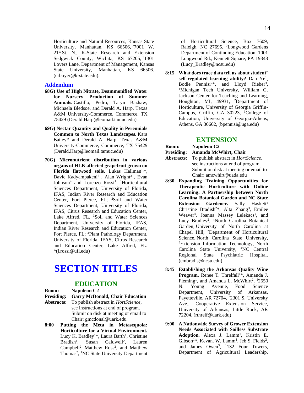Horticulture and Natural Resources, Kansas State University, Manhattan, KS 66506, <sup>2</sup>7001 W. 21<sup>st</sup> St. N., K-State Research and Extension Sedgwick County, Wichita, KS 67205, 31301 Lovers Lane, Department of Management, Kansas State University, Manhattan, KS 66506. [\(crboyer@k-state.edu\)](mailto:crboyer@k-state.edu).

#### **Addendum**

- **68G) Use of High Nitrate, Deammonified Water for Nursery Production of Summer Annuals.** Castillo, Pedro, Taryn Bazhaw, Michaela Bledsoe, and Derald A. Harp. Texas A&M University-Commerce, Commerce, TX 75429 [\(Derald.Harp@leomail.tamuc.edu\)](mailto:Derald.Harp@leomail.tamuc.edu)
- **69G) Nectar Quantity and Quality in Perennials Common to North Texas Landscapes.** Kara Bailey\* and Derald A. Harp. Texas A&M University-Commerce, Commerce, TX 75429 [\(Derald.Harp@leomail.tamuc.edu\)](mailto:Derald.Harp@leomail.tamuc.edu)
- **70G) Micronutrient distribution in various organs of HLB-affected grapefruit grown on**  Florida flatwood soils. Lukas Hallman<sup>1,\*</sup>, Davie Kadyampakeni<sup>2</sup>, Alan Wright<sup>3</sup>, Evan Johnson<sup>4</sup> and Lorenzo Rossi<sup>1</sup>. <sup>1</sup>Horticultural Sciences Department, University of Florida, IFAS, Indian River Research and Education Center, Fort Pierce, FL; <sup>2</sup>Soil and Water Sciences Department, University of Florida, IFAS, Citrus Research and Education Center, Lake Alfred, FL. <sup>3</sup>Soil and Water Sciences Department, University of Florida, IFAS, Indian River Research and Education Center, Fort Pierce, FL; <sup>4</sup>Plant Pathology Department, University of Florida, IFAS, Citrus Research and Education Center, Lake Alfred, FL. \*(l.rossi@ufl.edu)

# **SECTION TITLES**

#### **EDUCATION**

#### **Room: Napoleon C2**

- **Presiding: Garry McDonald, Chair Education Abstracts:** To publish abstract in *HortScience*, see instructions at end of program. Submit on disk at meeting or email to Chair: gmcdonal@uark.edu
- **8:00 Putting the Meta in Metasequoia: Horticulture for a Virtual Environment.**  Lucy K. Bradley<sup>1\*</sup>, Laura Barth<sup>1</sup>, Christine Bradish<sup>1</sup>, Susan Caldwell<sup>2</sup>, Lauren Campbell<sup>2</sup>, Matthew Ross<sup>2</sup>, and Matthew Thomas<sup>2</sup>, <sup>1</sup>NC State University Department

of Horticultural Science, Box 7609, Raleigh, NC 27695, <sup>2</sup>Longwood Gardens Department of Continuing Education, 1001 Longwood Rd., Kennett Square, PA 19348 (Lucy\_Bradley@ncsu.edu)

**8:15 What does trace data tell us about student'**  self-regulated learning ability? Dan Ye<sup>1</sup>, Bodie Pennisi<sup>2\*</sup>, and Lloyd Rieber<sup>3</sup>, <sup>1</sup>Michigan Tech University, William G. Jackson Center for Teaching and Learning, Houghton, MI, 49931, <sup>2</sup>Department of Horticulture, University of Georgia Griffin-Campus, Griffin, GA 30223, <sup>3</sup>College of Education, University of Georgia-Athens, Athens, GA 30602, (bpennisi@uga.edu)

#### **EXTENSION**

- **Room: Napoleon C2**
- 
- **Presiding: Amanda McWhirt, Chair Abstracts:** To publish abstract in *HortScience*, see instructions at end of program. Submit on disk at meeting or email to Chair: amcwhirt@uada.edu
- **8:30 Expanding Training Opportunities for Therapeutic Horticulture with Online Learning: A Partnership between North Carolina Botanical Garden and NC State Extension Gardener.** Sally Haskett<sup>1</sup> Christine Bradish<sup>2\*</sup>, Alta Zhang<sup>3</sup>, Emilee Weaver<sup>4</sup>, Joanna Massey Lelekacs<sup>1</sup>, and Lucy Bradley<sup>2</sup>, <sup>1</sup>North Carolina Botanical Garden, University of North Carolina at Chapel Hill, <sup>2</sup>Department of Horticultural Science, North Carolina State University, <sup>3</sup>Extension Information Technology, North Carolina State University, <sup>4</sup>NC Central Regional State Psychiatric Hospital. (cmbradis@ncsu.edu)
- **8:45 Establishing the Arkansas Quality Wine**  Program. Renee T. Threlfall<sup>1\*</sup>, Amanda J. Fleming<sup>1</sup>, and Amanda L. McWhirt<sup>2</sup>, <sup>1</sup>2650 N. Young Avenue, Food Science Department, University of Arkansas, Fayetteville, AR 72704, <sup>2</sup>2301 S. University Ave., Cooperative Extension Service, University of Arkansas, Little Rock, AR 72204. (rthrelf@uark.edu)
- **9:00 A Nationwide Survey of Grower Extension Needs Associated with Soilless Substrate**  Adoption. Alexa J. Lamm<sup>1</sup>, Kristin E.  $Gibson<sup>1</sup>$ <sup>\*</sup>, Kevan. W. Lamm<sup>1</sup>, Jeb S. Fields<sup>2</sup>, and James Owen<sup>3</sup>, <sup>1</sup>132 Four Towers, Department of Agricultural Leadership,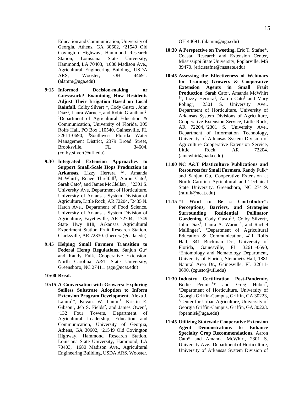Education and Communication, University of Georgia, Athens, GA 30602, <sup>2</sup>21549 Old Covington Highway, Hammond Research Station, Louisiana State University, Hammond, LA 70403, <sup>3</sup>1680 Madison Ave., Agricultural Engineering Building, USDA ARS, Wooster, OH 44691. (alamm@uga.edu)

- **9:15 Informed Decision-making or Guesswork? Examining How Residents Adjust Their Irrigation Based on Local**  Rainfall. Colby Silvert<sup>1\*</sup>, Cody Gusto<sup>1</sup>, John Diaz<sup>1</sup>, Laura Warner<sup>1</sup>, and Robin Grantham<sup>2</sup>, <sup>1</sup>Department of Agricultural Education & Communication, University of Florida, 305 Rolfs Hall, PO Box 110540, Gainesville, FL 32611-0690, <sup>2</sup>Southwest Florida Water Management District, 2379 Broad Street, Brooksville, FL 34604. (colby.silvert@ufl.edu)
- **9:30 Integrated Extension Approaches to Support Small-Scale Hops Production in**  Arkansas. Lizzy Herrera <sup>1\*</sup>, Amanda McWhirt<sup>1</sup>, Renee Threlfall<sup>2</sup>, Aaron Cato<sup>1</sup>, Sarah Cato<sup>1</sup>, and James McClellan<sup>3</sup>, <sup>1</sup>2301 S. University Ave, Department of Horticulture, University of Arkansas System Division of Agriculture, Little Rock, AR 72204, <sup>2</sup>2435 N. Hatch Ave., Department of Food Science, University of Arkansas System Division of Agriculture, Fayetteville, AR 72704, <sup>3</sup>1749 State Hwy 818, Arkansas Agricultural Experiment Station Fruit Research Station, Clarksville, AR 72830. (lherrera@uada.edu)
- **9:45 Helping Small Farmers Transition to Federal Hemp Regulations.** Sanjun Gu\* and Randy Fulk, Cooperative Extension, North Carolina A&T State University, Greensboro, NC 27411. (sgu@ncat.edu)

#### **10:00 Break**

**10:15 A Conversation with Growers: Exploring Soilless Substrate Adoption to Inform Extension Program Development**. Alexa J. Lamm<sup>1\*</sup>, Kevan. W. Lamm<sup>1</sup>, Kristin E. Gibson<sup>1</sup>, Jeb S. Fields<sup>2</sup>, and James Owen<sup>3</sup>, <sup>1</sup>132 Four Towers, Department of Agricultural Leadership, Education and Communication, University of Georgia, Athens, GA 30602, <sup>2</sup>21549 Old Covington Highway, Hammond Research Station, Louisiana State University, Hammond, LA 70403, <sup>3</sup>1680 Madison Ave., Agricultural Engineering Building, USDA ARS, Wooster,

OH 44691. (alamm@uga.edu)

- **10:30 A Perspective on Tweeting.** Eric T. Stafne\*, Coastal Research and Extension Center, Mississippi State University, Poplarville, MS 39470. (eric.stafne@msstate.edu)
- **10:45 Assessing the Effectiveness of Webinars for Training Growers & Cooperative Extension Agents in Small Fruit**  Production. Sarah Cato<sup>1</sup>, Amanda McWhirt <sup>1\*</sup>, Lizzy Herrera<sup>1</sup>, Aaron Cato<sup>1</sup> and Mary Poling<sup>2</sup>, <sup>1</sup>2301 S. University Ave., Department of Horticulture, University of Arkansas System Divisions of Agriculture, Cooperative Extension Service, Little Rock, AR 72204, <sup>2</sup>2301 S. University Ave., Department of Information Technology, University of Arkansas System Division of Agriculture Cooperative Extension Service, Little Rock, AR 72204. (amcwhirt@uada.edu)
- **11:00 NC A&T Plasticulture Publications and Resources for Small Farmers.** Randy Fulk\* and Sanjun Gu, Cooperative Extension at North Carolina Agricultural and Technical State University, Greensboro, NC 27419. (rafulk@ncat.edu)
- **11:15 "I Want to Be a Contributor": Perceptions, Barriers, and Strategies Surrounding Residential Pollinator**  Gardening. Cody Gusto<sup>1\*</sup>, Colby Silvert<sup>1</sup>, John Diaz<sup>1</sup>, Laura A. Warner<sup>1</sup>, and Rachel Mallinger<sup>2</sup>, <sup>1</sup>Department of Agricultural Education & Communication, 411 Rolfs Hall, 341 Buckman Dr., University of Florida, Gainesville, FL 32611-0690, <sup>2</sup>Entomology and Nematology Department, University of Florida, Steinmetz Hall, 1881 Natural Area Dr., Gainesville, FL 32611- 0690. (cgusto@ufl.edu)
- **11:30 Industry Certification Post-Pandemic.** Bodie Pennisi<sup>1\*</sup> and Greg  $Huber<sup>2</sup>$ , <sup>1</sup>Department of Horticulture, University of Georgia Griffin-Campus, Griffin, GA 30223, <sup>2</sup>Center for Urban Agriculture, University of Georgia Griffin-Campus, Griffin, GA 30223. (bpennisi@uga.edu)
- **11:45 Utilizing Statewide Cooperative Extension Agent Demonstrations to Enhance Specialty Crop Recommendations.** Aaron Cato\* and Amanda McWhirt, 2301 S. University Ave., Department of Horticulture, University of Arkansas System Division of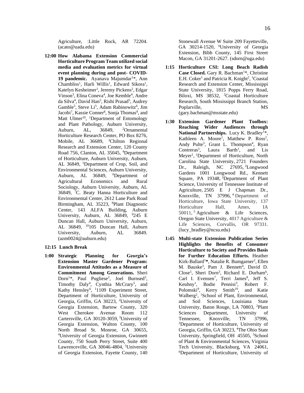Agriculture, :Little Rock, AR 72204. (acato@uada.edu)

**12:00 How Alabama Extension Commercial Horticulture Program Team utilized social media and evaluation metrics for virtual event planning during and post- COVID-**19 pandemic. Ayanava Majumdar<sup>1\*</sup>, Ann Chambliss<sup>1</sup>, Harli Willis<sup>1</sup>, Edward Sikora<sup>1</sup>, Katelyn Kesheimer<sup>1</sup>, Jeremy Pickens<sup>2</sup>, Edgar Vinson<sup>3</sup>, Elina Coneva<sup>4</sup>, Joe Kemble<sup>4</sup>, Andre da Silva<sup>4</sup>, David Han<sup>5</sup>, Rishi Prasad<sup>5</sup>, Audrey Gamble<sup>5</sup>, Steve Li<sup>5</sup>, Adam Rabinowitz<sup>6</sup>, Jim Jacobi<sup>7</sup>, Kassie Conner<sup>8</sup>, Sonja Thomas<sup>9</sup>, and Matt Ulmer<sup>10</sup>, <sup>1</sup>Department of Entomology and Plant Pathology, Auburn University, Auburn, AL, 36849, <sup>2</sup>Ornamental Horticulture Research Center, PO Box 8276, Mobile, AL 36689, <sup>3</sup>Chilton Regional Research and Extension Center, 120 County Road 756, Clanton, AL 35045, <sup>4</sup>Department of Horticulture, Auburn University, Auburn, AL 36849, <sup>5</sup>Department of Crop, Soil, and Environmental Sciences, Auburn University, Auburn, AL 36849, <sup>6</sup>Department of Agricultural Economics and Rural Sociology, Auburn University, Auburn, AL 36849, <sup>7</sup>C. Beaty Hanna Horticulture and Environmental Center, 2612 Lane Park Road Birmingham, AL 35223, <sup>8</sup>Plant Diagnostic Center, 143 ALFA Building, Auburn University, Auburn, AL 36849, <sup>9</sup>245 E Duncan Hall, Auburn University, Auburn, AL 36849, <sup>10</sup>105 Duncan Hall, Auburn University, Auburn, AL 36849. (azm0024@auburn.edu)

#### **12:15 Lunch Break**

**1:00 Strategic Planning for Georgia's Extension Master Gardener Program: Environmental Attitudes as a Measure of Commitment Among Generations.** Sheri Dorn<sup>1\*</sup>, Paul Pugliese<sup>2</sup>, Joel Burnsed<sup>3</sup>, Timothy Daly<sup>4</sup>, Cynthia McCrary<sup>5</sup>, and Kathy Hensley<sup>6</sup>, <sup>1</sup>1109 Experiment Street, Department of Horticulture, University of Georgia, Griffin, GA 30223, <sup>2</sup>University of Georgia Extension, Bartow County, 320 West Cherokee Avenue Room 112 Cartersville, GA 30120-3059, <sup>3</sup>University of Georgia Extension, Walton County, 100 North Broad St. Monroe, GA 30655, <sup>4</sup>University of Georgia Extension, Gwinnett County, 750 South Perry Street, Suite 400 Lawrenceville, GA 30046-4804, <sup>5</sup>University of Georgia Extension, Fayette County, 140

Stonewall Avenue W Suite 209 Fayetteville, GA 30214-1520, <sup>6</sup>University of Georgia Extension, Bibb County, 145 First Street Macon, GA 31201-2627. (sdorn@uga.edu)

- **1:15 Horticulture CSI: Long Beach Radish**  Case Closed. Gary R. Bachman<sup>1\*</sup>, Christine E.H. Coker<sup>1</sup> and Patricia R. Knight<sup>2</sup>, <sup>1</sup>Coastal Research and Extension Center, Mississippi State University, 1815 Popps Ferry Road, Biloxi, MS 38532, <sup>2</sup>Coastal Horticulture Research, South Mississippi Branch Station, Poplarville, MS (gary.bachman@msstate.edu)
- **1:30 Extension Gardener Plant Toolbox: Reaching Wider Audiences through** National Partnerships. Lucy K. Bradley<sup>1\*</sup>, Kathleen A. Moore<sup>1</sup>, Matthew P. Ross<sup>2</sup>, Andy Pulte<sup>3</sup>, Grant L. Thompson<sup>4</sup>, Ryan Contreras<sup>5</sup>, Laura Barth<sup>1</sup> Barth<sup>1</sup>, and Lis Meyer<sup>1</sup>, <sup>1</sup>Department of Horticulture, North Carolina State University, 2721 Founders Dr., Raleigh, NC 27695, <sup>2</sup>Longwood Gardens 1001 Longwood Rd., Kennett Square, PA 19348, <sup>3</sup>Department of Plant Science, University of Tennessee Institute of Agriculture, 2505 E J Chapman Dr., Knoxville, TN 37996, <sup>4</sup> Department of Horticulture, Iowa State University, 137 Horticulture Hall, Ames, IA 50011, <sup>5</sup> Agriculture & Life Sciences, Oregon State University, 4017 Agriculture & Life Sciences, Corvallis, OR 97331. (lucy\_bradley@ncsu.edu)
- **1:45 Multi-state Extension Publication Series Highlights the Benefits of Consumer Horticulture to Society and Provides Basis for Further Education Efforts.** Heather Kirk-Ballard<sup>1</sup>\*, Natalie R. Bumgarner<sup>2</sup>, Ellen M. Bauske<sup>3</sup>, Pam J. Bennett<sup>4</sup>, David D. Close<sup>5</sup>, Sheri Dorn<sup>3</sup>, Richard E. Durham<sup>6</sup>, Carl I. Evensen<sup>7</sup>, Terri James<sup>8</sup>, Jeff S. Keuhny<sup>1</sup>, Bodie Pennisi<sup>3</sup> , Robert F. Polomski<sup>9</sup>, Kerry Smith<sup>10</sup>, and Katie Walberg<sup>2</sup>, <sup>1</sup>School of Plant, Environmental, and Soil Sciences, Louisiana State University, Baton Rouge, LA 70803, <sup>2</sup>Plant Sciences Department, University of Tennessee, Knoxville, TN 37996, <sup>3</sup>Department of Horticulture, University of Georgia, Griffin, GA 30223, <sup>4</sup>The Ohio State University, Springfield, OH 45505, <sup>5</sup>School of Plant & Environmental Sciences, Virginia Tech University, Blacksburg, VA 24061, 6Department of Horticulture, University of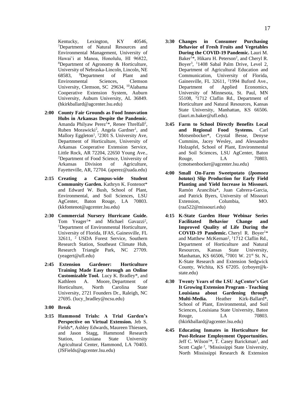Kentucky, Lexington, KY 40546, <sup>7</sup>Department of Natural Resources and Environmental Management, University of Hawai'i at Manoa, Honolulu, HI 96822, <sup>8</sup>Department of Agronomy & Horticulture, University of Nebraska-Lincoln, Lincoln, NE 68583, <sup>9</sup>Department of Plant and Environmental Sciences, Clemson University, Clemson, SC 29634, <sup>10</sup>Alabama Cooperative Extension System, Auburn University, Auburn University, AL 36849. (hkirkballard@agcenter.lsu.edu)

- **2:00 County Fair Grounds as Food Innovation Hubs in Arkansas Despite the Pandemic.** Amanda Philyaw Perez<sup>1\*</sup>, Renee Threlfall<sup>2</sup>, Ruben Morawicki<sup>2</sup>, Angela Gardner<sup>1</sup>, and Mallory Eggleton<sup>1</sup>, <sup>1</sup>2301 S. University Ave, Department of Horticulture, University of Arkansas Cooperative Extension Service, Little Rock, AR 72204, 22650 Young Ave., <sup>2</sup>Department of Food Science, University of Arkansas Division of Agriculture, Fayetteville, AR, 72704. (aperez@uada.edu)
- **2:15 Creating a Campus-wide Student Community Garden.** Kathryn K. Fontenot\* and Edward W. Bush, School of Plant, Environmental, and Soil Sciences, LSU AgCenter, Baton Rouge, LA 70803. (kkfontenot@agcenter.lsu.edu)
- **2:30 Commercial Nursery Hurricane Guide.**  Tom Yeager<sup>1\*</sup> and Michael Gavazzi<sup>2</sup>, <sup>1</sup>Department of Environmental Horticulture, University of Florida, IFAS, Gainesville, FL 32611, <sup>2</sup> USDA Forest Service, Southern Research Station, Southeast Climate Hub, Research Triangle Park, NC 27709. (yeagert@ufl.edu)
- **2:45 Extension Gardener: Horticulture Training Made Easy through an Online Customizable Tool.** Lucy K. Bradley\*, and Kathleen A. Moore, Department of Horticulture, North Carolina State University, 2721 Founders Dr., Raleigh, NC 27695. (lucy\_bradley@ncsu.edu)
- **3:00 Break**
- **3:15 Hammond Trials: A Trial Garden's Perspective on Virtual Extension.** Jeb S. Fields\*, Ashley Edwards, Maureen Thiessen, and Jason Stagg, Hammond Research Station, Louisiana State University Agricultural Center, Hammond, LA 70403. (JSFields@agcenter.lsu.edu)
- **3:30 Changes in Consumer Purchasing Behavior of Fresh Fruits and Vegetables During the COVID-19 Pandemic.** Lauri M. Baker<sup>1\*</sup>, Hikaru H. Peterson<sup>2</sup>, and Cheryl R. Boyer<sup>3</sup>, <sup>1</sup>1408 Sabal Palm Drive, Level 2, Department of Agricultural Education and Communication, University of Florida, Gainesville, FL 32611, <sup>2</sup>1994 Buford Ave., Department of Applied Economics, University of Minnesota, St. Paul, MN 55108, <sup>3</sup>1712 Claflin Rd., Department of Horticulture and Natural Resources, Kansas State University, Manhattan, KS 66506. (lauri.m.baker@ufl.edu).
- **3:45 Farm to School Directly Benefits Local and Regional Food Systems.** Carl Motsenbocker\*, Crystal Besse, Denyse Cummins, Jacey Wesley, and Alessandro Holzapfel, School of Plant, Environmental and Soil Sciences, LSU AgCenter, Baton Rouge, LA 70803. (cmotsenbocker@agcenter.lsu.edu)
- **4:00 Small On-Farm Sweetpotato (***Ipomoea batatas***) Slip Production for Early Field Planting and Yield Increase in Missouri.** Ramón Arancibia\*, Juan Cabrera-Garcia, and Patrick Byers, University of Missouri Extension, Columbia, MO. (raa522@missouri.edu)
- **4:15 K-State Garden Hour Webinar Series Facilitated Behavior Change and Improved Quality of Life During the COVID-19 Pandemic.** Cheryl R. Boyer<sup>1\*</sup> and Matthew McKernan<sup>2</sup>, <sup>1</sup>1712 Claflin Rd., Department of Horticulture and Natural Resources, Kansas State University, Manhattan, KS 66506, <sup>2</sup>7001 W. 21<sup>st</sup> St. N., K-State Research and Extension Sedgwick County, Wichita, KS 67205. (crboyer@kstate.edu)
- **4:30 Twenty Years of the LSU AgCenter's Get It Growing Extension Program - Teaching Louisiana about Gardening through Multi-Media.** Heather Kirk-Ballard\*, School of Plant, Environmental, and Soil Sciences, Louisiana State University, Baton Rouge. LA 70803. (hkirkballard@agcenter.lsu.edu)
- **4:45 Educating Inmates in Horticulture for Post-Release Employment Opportunities.** Jeff C. Wilson<sup>1\*</sup>, T. Casey Barickman<sup>1</sup>, and Scott Cagle<sup>2</sup>, <sup>1</sup>Mississippi State University, North Mississippi Research & Extension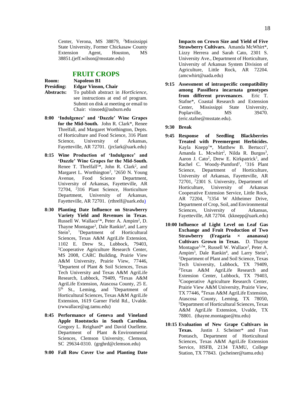Center, Verona, MS 38879, <sup>2</sup>Mississippi State University, Former Chickasaw County Extension Agent, Houston, MS 38851.(jeff.wilson@msstate.edu)

#### **FRUIT CROPS**

| Room:             | Napoleon B1                                 |
|-------------------|---------------------------------------------|
| <b>Presiding:</b> | <b>Edgar Vinson, Chair</b>                  |
| Abstracts:        | To publish abstract in <i>HortScience</i> , |
|                   | see instructions at end of program.         |
|                   | Submit on disk at meeting or email to       |
|                   | Chair: vinsoed@auburn.edu                   |

- **8:00 'Indulgence' and 'Dazzle' Wine Grapes for the Mid-South.** John R. Clark\*, Renee Threlfall, and Margaret Worthington, Depts. of Horticulture and Food Science, 316 Plant Science, University of Arkansas, Fayetteville, AR 72701. (jrclark@uark.edu)
- **8:15 Wine Production of 'Indulgence' and 'Dazzle' Wine Grapes for the Mid-South.**  Renee T. Threlfall<sup>1\*</sup>, John R. Clark<sup>2</sup>, and Margaret L. Worthington<sup>2</sup>, <sup>1</sup>2650 N. Young Avenue, Food Science Department, University of Arkansas, Fayetteville, AR 72704, <sup>2</sup>316 Plant Science, Horticulture Department, University of Arkansas, Fayetteville, AR 72701. (rthrelf@uark.edu)
- **8:30 Planting Date Influence on Strawberry Variety Yield and Revenues in Texas**. Russell W. Wallace<sup>1\*</sup>, Peter A. Ampim<sup>2</sup>, D. Thayne Montague<sup>3</sup>, Dale Rankin<sup>4</sup>, and Larry Stein<sup>5</sup>, <sup>1</sup>Department of Horticultural Sciences, Texas A&M AgriLife Extension, 1102 E. Drew St., Lubbock, 79403, <sup>2</sup>Cooperative Agriculture Research Center, MS 2008, CARC Building, Prairie View A&M University, Prairie View, 77446, <sup>3</sup>Departent of Plant & Soil Sciences, Texas Tech University and Texas A&M AgriLife Research, Lubbock, 79409, <sup>4</sup>Texas A&M AgriLife Extension, Atascosa County, 25 E. 5<sup>th</sup> St., Leming, and <sup>5</sup>Department of Horticultural Sciences, Texas A&M AgriLife Extension, 1619 Garner Field Rd., Uvalde. (rwwallace@ag.tamu.edu)
- **8:45 Performance of Geneva and Vineland Apple Rootstocks in South Carolina.** Gregory L. Reighard\* and David Ouellette. Department of Plant & Environmental Sciences, Clemson University, Clemson, SC 29634-0310. (grghrd@clemson.edu)
- **9:00 Fall Row Cover Use and Planting Date**

**Impacts on Crown Size and Yield of Five Strawberry Cultivars.** Amanda McWhirt\*, Lizzy Herrera and Sarah Cato, 2301 S. University Ave., Department of Horticulture, University of Arkansas System Division of Agriculture, Little Rock, AR 72204. (amcwhirt@uada.edu)

- **9:15 Assessment of intraspecific compatibility among Passiflora incarnata genotypes from different provenances**. Eric T. Stafne\*, Coastal Research and Extension Center, Mississippi State University, Poplarville, MS 39470. (eric.stafne@msstate.edu).
- **9:30 Break**
- **9:45 Response of Seedling Blackberries Treated with Preemergent Herbicides.**  Kayla Knepp<sup>1\*</sup>, Matthew B. Bertucci<sup>1</sup>, Amanda L. Mcwhirt<sup>2</sup>, Nilda R. Burgos<sup>3</sup>, Aaron J. Cato<sup>2</sup>, Drew E. Kirkpatrick<sup>1</sup>, and Rachel C. Woody-Pumford<sup>1</sup>, <sup>1</sup>316 Plant Science, Department of Horticulture, University of Arkansas, Fayetteville, AR 72701, <sup>2</sup>2301 S. University, Department of Horticulture, University of Arkansas Cooperative Extension Service, Little Rock, AR 72204, <sup>3</sup>1354 W Altheimer Drive, Department of Crop, Soil, and Environmental Sciences, University of Arkansas, Fayetteville, AR 72704. (kknepp@uark.edu)
- **10:00 Influence of Light Level on Leaf Gas Exchange and Fruit Production of Two Strawberry (Fragaria × ananassa) Cultivars Grown in Texas.** D. Thayne Montague<sup>1,2\*</sup>, Russell W. Wallace<sup>2</sup>, Peter A. Ampim<sup>3</sup>, Dale Rankin<sup>4</sup>, and Larry Stein<sup>5</sup>, <sup>1</sup>Department of Plant and Soil Science, Texas Tech University, Lubbock, TX 79409, <sup>2</sup>Texas A&M AgriLife Research and Extension Center, Lubbock, TX 79403, <sup>3</sup>Cooperative Agriculture Research Center, Prairie View A&M University, Prairie View, TX 77446, <sup>4</sup>Texas A&M AgriLife Extension, Atascosa County, Leming, TX 78050, <sup>5</sup>Department of Horticultural Sciences, Texas A&M AgriLife Extension, Uvalde, TX 78801. (thayne.montague@ttu.edu)
- **10:15 Evaluation of New Grape Cultivars in Texas.** Justin J. Scheiner\* and Fran Pontasch, Department of Horticultural Sciences, Texas A&M AgriLife Extension Service, HSFB, 2134 TAMU, College Station, TX 77843. (jscheiner@tamu.edu)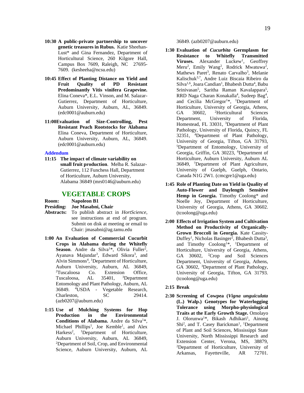- **10:30 A public-private partnership to uncover genetic treasures in Rubus.** Katie Sheehan-Lust\* and Gina Fernandez, Department of Horticultural Science, 260 Kilgore Hall, Campus Box 7609, Raleigh, NC 27695- 7609. (kesheeha@ncsu.edu)
- **10:45 Effect of Planting Distance on Yield and Fruit Quality of PD Resistant Predominantly Vitis vinifera Grapevine.**  Elina Coneva\*, E.L. Vinson, and M. Salazar-Gutierrez, Department of Horticulture, Auburn University, Auburn, AL, 36849. (edc0001@auburn.edu)
- **11:00Evaluation of Size-Controlling, Pest Resistant Peach Rootstocks for Alabama**  Elina Coneva, Department of Horticulture, Auburn University, Auburn, AL, 36849. (edc0001@auburn.edu)

#### **Addendum**

**11:15 The impact of climate variability on small fruit production**. Melba R. Salazar-Gutierrez, 112 Funchess Hall, Department of Horticulture, Auburn University, Alabama 36849 (mrs0146@auburn.edu)

#### **VEGETABLE CROPS**

**Room: Napoleon B1**

#### **Presiding: Joe Masabni, Chair**

- **Abstracts:** To publish abstract in *HortScience*, see instructions at end of program. Submit on disk at meeting or email to Chair: jmasabni@ag.tamu.edu
- **1:00 An Evaluation of Commercial Cucurbit Crops in Alabama during the Whitefly**  Season. Andre da Silva<sup>1\*</sup>, Olivia Fuller<sup>2</sup>, Ayanava Majundar<sup>3</sup>, Edward Sikora<sup>3</sup>, and Alvin Simmons<sup>4</sup>, <sup>1</sup>Department of Horticulture, Auburn University, Auburn, AL 36849, <sup>2</sup>Tuscaloosa Co. Extension Office, Tuscaloosa, AL 35401, <sup>3</sup>Department Entomology and Plant Pathology, Auburn, AL 36849. <sup>4</sup>USDA - Vegetable Research, Charleston, SC 29414. (azb0207@auburn.edu)
- **1:15 Use of Mulching Systems for Hop Production in the Environmental**  Conditions of Alabama. Andre da Silva<sup>1\*</sup>, Michael Phillips<sup>1</sup>, Joe Kemble<sup>1</sup>, and Alex Harkess<sup>2</sup>, <sup>1</sup>Department of Horticulture, Auburn University, Auburn, AL 36849, <sup>2</sup>Department of Soil, Crop, and Environmental Science, Auburn University, Auburn, AL

36849. (azb0207@auburn.edu)

- **1:30 Evaluation of** *Cucurbita* **Germplasm for Resistance to Whitefly Transmitted**  Viruses. Alexander Luckew<sup>1</sup>, Geoffrey Meru<sup>2</sup>, Emily Wang<sup>2</sup>, Rodrick Mwatuwa<sup>2</sup>, Mathews Paret<sup>3</sup>, Renato Carvalho<sup>3</sup>, Melanie Kalischuk3,7, Andre Luiz Biscaia Ribeiro da Silva<sup>1,6</sup>, Joara Candian<sup>1</sup>, Bhabesh Dutta<sup>4</sup>, Babu Srinivasan<sup>5</sup>, Saritha Raman Kavalappara<sup>5</sup>, RRD Naga Charan Konakalla<sup>4</sup>, Sudeep Bag<sup>4</sup>, and Cecilia  $McGregor<sup>1</sup>$ <sup>\*</sup>, <sup>1</sup>Department of Horticulture, University of Georgia, Athens, GA 30602, <sup>2</sup>Horticultural Sciences Department, University of Florida, Homestead, FL 33031, <sup>3</sup>Department of Plant Pathology, University of Florida, Quincy, FL 32351, <sup>4</sup>Department of Plant Pathology, University of Georgia, Tifton, GA 31793, <sup>5</sup>Department of Entomology, University of Georgia, Griffin, GA 30223, <sup>6</sup>Department of Horticulture, Auburn University, Auburn AL 36849, <sup>7</sup>Department of Plant Agriculture, University of Guelph, Guelph, Ontario, Canada N1G 2W1. (cmcgre1@uga.edu)
- **1:45 Role of Planting Date on Yield in Quality of Auto-Flower and Daylength Sensitive Hemp in Georgia.** Timothy Coolong\* and Noelle Joy, Department of Horticulture, University of Georgia, Athens, GA 30602. (tcoolong@uga.edu)
- **2:00 Effects of Irrigation System and Cultivation Method on Productivity of Organically-Grown Broccoli in Georgia.** Kate Cassity-Duffey<sup>1</sup>, Nicholas Basinger<sup>2</sup>, Bhabesh Dutta<sup>3</sup>, and Timothy Coolong<sup>1\*</sup>, <sup>1</sup>Department of Horticulture, University of Georgia, Athens, GA 30602, <sup>2</sup>Crop and Soil Sciences Department, University of Georgia, Athens, GA 30602, <sup>3</sup>Department of Plant Pathology, University of Georgia, Tifton, GA 31793. (tcoolong@uga.edu)
- **2:15 Break**
- **2:30 Screening of Cowpea (***Vigna unguiculata* **(L.) Walp.) Genotypes for Waterlogging Tolerance using Morpho-physiological Traits at the Early Growth Stage.** Omolayo J. Olorunwa<sup>1\*</sup>, Bikash Adhikari<sup>1</sup>, Ainong Shi<sup>2</sup>, and T. Casey Barickman<sup>1</sup>, <sup>1</sup>Department of Plant and Soil Sciences, Mississippi State University, North Mississippi Research and Extension Center, Verona, MS, 38879, <sup>2</sup>Department of Horticulture, University of Arkansas, Fayetteville, AR 72701.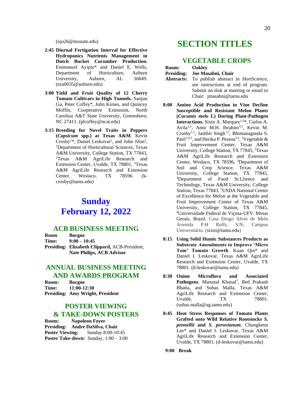(ojo26@msstate.edu)

- **2:45 Diurnal Fertigation Interval for Effective Hydroponics Nutrients Management in Dutch Bucket Cucumber Production.**  Emmanuel Ayipio\* and Daniel E. Wells, Department of Horticulture, Auburn University, Auburn, AL 36849. (eza0035@auburn.edu)
- **3:00 Yield and Fruit Quality of 12 Cherry Tomato Cultivars in High Tunnels.** Sanjun Gu, Peter Coffey\*, John Kimes, and Quincey Moffitt, Cooperative Extension, North Carolina A&T State University, Greensboro, NC 27411. (plcoffey@ncat.edu)
- **3:15 Breeding for Novel Traits in Peppers (***Capsicum* **spp.) at Texas A&M**. Kevin Crosby<sup>1\*</sup>, Daniel Leskovar<sup>2</sup>, and John Jifon<sup>3</sup>, <sup>1</sup>Department of Horticultural Sciences, Texas A&M University, College Station, TX 77843, <sup>2</sup>Texas A&M AgriLife Research and Extension Center, Uvalde, TX 78801, <sup>3</sup>Texas A&M AgriLife Research and Extension Center, Weslaco, TX 78596. (kcrosby@tamu.edu)

# **Sunday February 12, 2022**

#### **ACB BUSINESS MEETING**

**Room Borgne Time: 9:00 – 10:45 Presiding: Elizabeth Clippard,** ACB-President, **Nate Philips, ACB Advisor**

#### **ANNUAL BUSINESS MEETING AND AWARDS PROGRAM**

**Room: Borgne Time: 11:00-12:30 Presiding: Amy Wright, President**

#### **POSTER VIEWING & TAKE-DOWN POSTERS**

**Room: Napoleon Foyer Presiding: Andre DaSilva, Chair Poster Viewing:** Sunday 8:00-10:45 **Poster Take-down:** Sunday, 1:00 – 3:00

# **SECTION TITLES**

#### **VEGETABLE CROPS**

| Room:             | <b>Oakley</b>      |
|-------------------|--------------------|
| <b>Presiding:</b> | Joe Masabni. Chair |

- **Abstracts:** To publish abstract in *HortScience*, see instructions at end of program. Submit on disk at meeting or email to Chair: jmasabni@tamu.edu
- **8:00 Amino Acid Production in Vine Decline Susceptible and Resistant Melon Plants (***Cucumis melo* **L) During Plant-Pathogen Interactions.** Sixto A. Marquez<sup>1,5\*</sup>, Carlos A. Avila<sup>1,2</sup>, Amir M.H. Ibrahim<sup>3,5</sup>, Kevin M.  $Crosby<sup>1,5</sup>$ , Jashbir Singh<sup>1,5</sup>, Bhimanagouda S. Patil<sup>1,4,5</sup>, and Herika P. Pessoa<sup>1,6</sup>, <sup>1</sup>Vegetable & Fruit Improvement Center, Texas A&M University, College Station, TX 77845, <sup>2</sup>Texas A&M AgriLife Research and Extension Center, Weslaco, TX 78596, <sup>3</sup>Department of Soil and Crop Science, Texas A&M University, College Station, TX 77845, <sup>4</sup>Department of Food Sc12ience and Technology, Texas A&M University, College Station, Texas 77843, <sup>5</sup>USDA National Center of Excellence for Melon at the Vegetable and Fruit Improvement Center of Texas A&M University, College Station, TX 77845, <sup>6</sup>Universidade Federal de Viçosa-UFV. Minas Gerais, Brasil. Casa Diogo Alves de Melo Avenida P.H Rolfs, S/N, Campus Universitário. (sixto@tamu.edu)
- **8:15 Using Solid Humic Substances Products as Substrate Amendments to Improve 'Micro Tom' Tomato Growth**. Kuan Qin\* and Daniel I. Leskovar, Texas A&M AgriLife Research and Extension Center, Uvalde, TX 78801. (d-leskovar@tamu.edu)
- **8:30 Onion Microflora and Associated**  Pathogens. Manzeal Khanal\*, Bed Prakash Bhatta, and Subas Malla, Texas A&M AgriLife Research and Extension Center, Uvalde. TX 78801. (subas.malla@ag.tamu.edu)
- **8:45 Heat Stress Responses of Tomato Plants Grafted onto Wild Relative Rootstocks** *S. pennellii* **and** *S. peruvianum.* Chungkeun Lee\* and Daniel I. Leskovar, Texas A&M AgriLife Research and Extension Center, Uvalde, TX 78801. (d-leskovar@tamu.edu)
- **9:00 Break**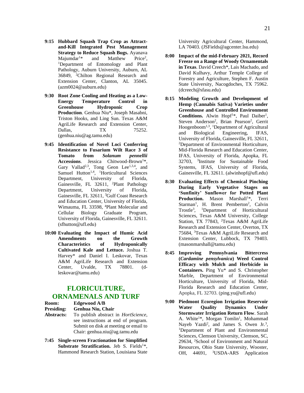- **9:15 Hubbard Squash Trap Crop as Attractand-Kill Integrated Pest Management Strategy to Reduce Squash Bugs.** Ayanava Majumdar<sup>1\*</sup> and Matthew Price<sup>2</sup>.  $M$ ajumdar<sup>1\*</sup> and  $Price<sup>2</sup>$ . <sup>1</sup>Department of Entomology and Plant Pathology, Auburn University, Auburn, AL 36849, <sup>2</sup>Chilton Regional Research and Extension Center, Clanton, AL 35045. (azm0024@auburn.edu)
- **9:30 Root Zone Cooling and Heating as a Low-Energy Temperature Control in Greenhouse Hydroponic Crop Production**. Genhua Niu\*, Joseph Masabni, Triston Hooks, and Ling Sun. Texas A&M AgriLife Research and Extension Center, Dallas, TX 75252. (genhua.niu@ag.tamu.edu)
- **9:45 Identification of Novel Loci Conferring Resistance to Fusarium Wilt Race 3 of Tomato from** *Solanum pennellii*  Accessions. Jessica Chitwood-Brown<sup>1\*</sup>. Gary Vallad<sup>2,3</sup>, Tong Geon Lee<sup>1,3,4</sup>, and Samuel Hutton<sup>1,4</sup>, <sup>1</sup>Horticultural Sciences Department, University of Florida, Gainesville, FL 32611, <sup>2</sup>Plant Pathology Department, University of Florida, Gainesville, FL 32611, <sup>3</sup>Gulf Coast Research and Education Center, University of Florida, Wimauma, FL 33598, <sup>4</sup>Plant Molecular and Cellular Biology Graduate Program, University of Florida, Gainesville, FL 32611. (sfhutton@ufl.edu)
- **10:00 Evaluating the Impact of Humic Acid Amendments on the Growth Characteristics of Hydroponically Cultivated Kale and Lettuce.** Joshua T. Harvey\* and Daniel I. Leskovar, Texas A&M AgriLife Research and Extension Center, Uvalde, TX 78801. (dleskovar@tamu.edu)

#### **FLORICULTURE, ORNAMENALS AND TURF**

**Room: Edgewood A/B**

#### **Presiding: Genhua Niu, Chair**

- **Abstracts:** To publish abstract in *HortScience*, see instructions at end of program. Submit on disk at meeting or email to Chair: genhua.niu@ag.tamu.edu
- **7:45 Single-screen Fractionation for Simplified Substrate Stratification.** Jeb S. Fields<sup>1\*</sup>, Hammond Research Station, Louisiana State

University Agricultural Center, Hammond, LA 70403. (JSFields@agcenter.lsu.edu)

- **8:00 Impact of the mid-February 2021, Record Freeze on a Range of Woody Ornamentals in Texas**. David Creech\*, Lais Machado, and David Kulhavy, Arthur Temple College of Forestry and Agriculture, Stephen F. Austin State University, Nacogdoches, TX 75962. (dcreech@sfasu.edu)
- **8:15 Modeling Growth and Development of Hemp (Cannabis Sativa) Varieties under Greenhouse and Controlled Environment**  Conditions. Alwin Hopf<sup>1\*</sup>, Paul Daiber<sup>1</sup>, Steven Anderson<sup>2</sup>, Brian Pearson<sup>2</sup>, Gerrit Hoogenboom<sup>1,3</sup>, <sup>1</sup>Department of Agricultural and Biological Engineering, IFAS, University of Florida, Gainesville, FL 32611, <sup>2</sup>Department of Environmental Horticulture, Mid-Florida Research and Education Center, IFAS, University of Florida, Apopka, FL 32703, <sup>3</sup> Institute for Sustainable Food Systems, IFAS, University of Florida, Gainesville, FL 32611. (alwinhopf@ufl.edu)
- **8:30 Evaluating Effects of Chemical Pinching During Early Vegetative Stages on 'Sunfinity' Sunflower for Potted Plant**  Production. Mason Marshall<sup>1\*</sup>, Terri Starman<sup>1</sup>, H. Brent Pemberton<sup>2</sup>, Calvin Trostle<sup>3</sup>, <sup>1</sup>Department of Horticultural Sciences, Texas A&M University, College Station, TX 77843, <sup>2</sup>Texas A&M AgriLife Research and Extension Center, Overton, TX 75684, <sup>3</sup>Texas A&M AgriLife Research and Extension Center, Lubbock, TX 79403. (masonmarshall@tamu.edu)
- **8:45 Improving Pennsylvania Bittercress (***Cardamine pensylvanica***) Weed Control Efficacy with Mulch and Herbicide in Containers.** Ping Yu\* and S. Christopher Marble, Department of Environmental Horticulture, University of Florida, Mid-Florida Research and Education Center, Apopka, FL 32703. (ping.yu@ufl.edu)
- **9:00 Piedmont Ecoregion Irrigation Reservoir Water Quality Dynamics Under Stormwater Irrigation Return Flow**. Sarah A. White<sup>1\*</sup>, Morgan Tomlin<sup>1</sup>, Mohammad Nayeb Yazdi<sup>2</sup>, and James S. Owen Jr.<sup>3</sup>, <sup>1</sup>Department of Plant and Environmental Sciences, Clemson University, Clemson, SC, 29634, <sup>2</sup>School of Environment and Natural Resources, Ohio State University, Wooster, OH, 44691, <sup>3</sup>USDA-ARS Application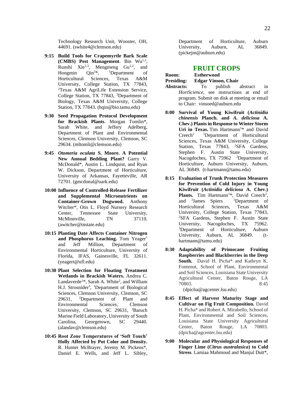Technology Research Unit, Wooster, OH, 44691. (swhite4@clemson.edu)

- **9:15 Build Tools for Crapemyrtle Bark Scale**  (CMBS) Pest Management. Bin Wu<sup>1,3</sup>, Runshi Xie<sup>1,3</sup>, Mengmeng Gu<sup>1,2</sup>, and Hongmin Qin<sup>3\*</sup>, <sup>1</sup>Department of Horticultural Sciences, Texas A&M University, College Station, TX 77843, <sup>2</sup>Texas A&M AgriLife Extension Service, College Station, TX 77843, <sup>3</sup>Department of Biology, Texas A&M University, College Station, TX 77843. (hqin@bio.tamu.edu)
- **9:30 Seed Propagation Protocol Development for Brackish Plants**. Morgan Tomlin\*, Sarah White, and Jeffery Adelberg, Department of Plant and Environmental Sciences, Clemson University, Clemson, SC 29634. (mltomli@clemson.edu)
- **9:45** *Otomeria oculata* **S. Moore. A Potential New Annual Bedding Plant?** Garry V. McDonald\*, Austin L. Lindquist, and Ryan W. Dickson, Department of Horticulture, University of Arkansas, Fayetteville, AR 72701. (gmcdonal@uark.edu)
- **10:00 Influence of Controlled-Release Fertilizer and Supplemental Micronutrients on Container-Grown Dogwood.** Anthony Witcher\*, Otis L. Floyd Nursery Research Center, Tennessee State University, McMinnville, TN 37110. (awitcher@tnstate.edu)
- **10:15 Planting Date Affects Container Nitrogen and Phosphorus Leaching.** Tom Yeager\* and Jeff Million, Department of Environmental Horticulture, University of Florida, IFAS, Gainesville, FL 32611. (yeagert@ufl.edu)
- **10:30 Plant Selection for Floating Treatment Wetlands in Brackish Waters.** Andrea C. Landaverde<sup>1\*</sup>, Sarah A. White<sup>2</sup>, and William H.J. Strosnider<sup>3</sup>, <sup>1</sup>Department of Biological Sciences, Clemson University, Clemson, SC 29631, <sup>2</sup>Department of Plant and Environmental Sciences, Clemson University, Clemson, SC 29631, <sup>3</sup>Baruch Marine Field Laboratory, University of South Carolina, Georgetown, SC 29440. (alandav@clemson.edu)
- **10:45 Root Zone Temperatures of 'Soft Touch' Holly Affected by Pot Color and Density.**  R. Hunter McBrayer, Jeremy M. Pickens\*, Daniel E. Wells, and Jeff L. Sibley,

Department of Horticulture, Auburn University, Auburn, AL 36849. (pickejm@auburn.edu)

#### **FRUIT CROPS Room: Estherwood**

| nvvin.            | тэмм ном |                            |          |    |
|-------------------|----------|----------------------------|----------|----|
| <b>Presiding:</b> |          | <b>Edgar Vinson, Chair</b> |          |    |
| Abstracts:        | To       | publish                    | abstract | in |
|                   |          |                            |          |    |

- *HortScience*, see instructions at end of program. Submit on disk at meeting or email to Chair: vinsoed@auburn.edu
- **8:00 Survival of Young Kiwifruit (***Actinidia chinensis* **Planch. and** *A. deliciosa* **A. Chev.) Plants in Response to Winter Storm Uri in Texas.** Tim Hartmann<sup>1\*</sup> and David Creech<sup>2</sup> <sup>1</sup>Department of Horticultural Sciences, Texas A&M University, College Station, Texas 77843, <sup>2</sup>SFA Gardens, Stephen F. Austin State University, Nacogdoches, TX 75962 <sup>2</sup>Department of Horticulture, Auburn University, Auburn, AL 36849. (t-hartmann@tamu.edu)
- **8:15 Evaluation of Trunk Protection Measures for Prevention of Cold Injury in Young Kiwifruit (***Actinidia deliciosa* **A. Chev.)**  Plants. Tim Hartmann<sup>1\*</sup>, David Creech<sup>2</sup>, and <sup>3</sup>James Spiers  ${}^{1}$ Department of Horticultural Sciences, Texas A&M University, College Station, Texas 77843, <sup>2</sup>SFA Gardens, Stephen F. Austin State University, Nacogdoches, TX 75962. <sup>3</sup>Department of Horticulture, Auburn University, Auburn, AL 36849. (thartmann@tamu.edu)
- **8:30 Adaptability of Primocane Fruiting Raspberries and Blackberries in the Deep South.** David H. Picha\* and Kathryn K. Fontenot, School of Plant, Environmental and Soil Sciences, Louisiana State University Agricultural Center, Baton Rouge, LA 70803. 8:45 (dpicha@agcenter.lsu.edu)
- **8:45 Effect of Harvest Maturity Stage and Cultivar on Fig Fruit Composition.** David H. Picha\* and Robert A. Mirabello, School of Plant, Environmental and Soil Sciences, Louisiana State University Agricultural Center, Baton Rouge, LA 70803. (dpicha@agcenter.lsu.edu)
- **9:00 Molecular and Physiological Responses of Finger Lime (***Citrus australasica***) to Cold Stress**. Lamiaa Mahmoud and Manjul Dutt\*,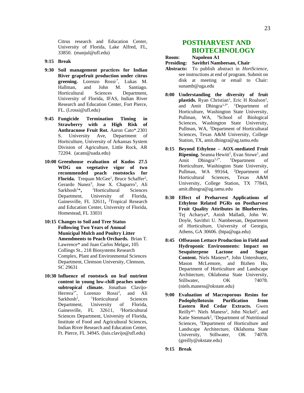Citrus research and Education Center, University of Florida, Lake Alfred, FL, 33850. (manjul@ufl.edu)

- **9:15 Break**
- **9:30 Soil management practices for Indian River grapefruit production under citrus**  greening. Lorenzo Rossi<sup>\*</sup>, Lukas M. Hallman, and John M. Santiago. Horticultural Sciences Department, University of Florida, IFAS, Indian River Research and Education Center, Fort Pierce, FL. (l.rossi@ufl.edu)
- **9:45 Fungicide Termination Timing in Strawberry with a High Risk of Anthracnose Fruit Rot.** Aaron Cato\*.2301 S. University Ave, Department of Horticulture, University of Arkansas System Division of Agriculture, Little Rock, AR 72204. (acato@uada.edu)
- **10:00 Greenhouse evaluation of Kudos 27.5 WDG on vegetative vigor of two recommended peach rootstocks for Florida.** Trequan McGee<sup>1</sup>, Bruce Schaffer<sup>2</sup>, Gerardo Nunez<sup>3</sup>, Jose X. Chaparro<sup>1</sup>, Ali Sarkhosh<sup>1</sup>\***,**  <sup>1</sup>Horticultural Sciences Department, University of Florida, Gainesville, FL 32611**,**  <sup>2</sup>Tropical Research and Education Center, University of Florida, Homestead, FL 33031
- **10:15 Changes to Soil and Tree Status Following Two Years of Annual Municipal Mulch and Poultry Litter Amendments to Peach Orchards.** Brian T. Lawrence\* and Juan Carlos Melgar**,** 105 Collings St., 218 Biosystems Research Complex, Plant and Environmental Sciences Department, Clemson University, Clemson, SC 29631
- **10:30 Influence of rootstock on leaf nutrient content in young low-chill peaches under subtropical climate.** Jonathan Clavijo-Herrera<sup>1\*</sup>, Lorenzo Rossi<sup>2</sup>, and Ali  $Sarkhosh<sup>1</sup>$ , <sup>1</sup>Horticultural Sciences Department, University of Florida, Gainesville, FL 32611, <sup>2</sup>Horticultural Sciences Department, University of Florida, Institute of Food and Agricultural Sciences, Indian River Research and Education Center, Ft. Pierce, FL 34945. (luis.clavijo@ufl.edu)

#### **POSTHARVEST AND BIOTECHNOLOGY**

- **Room: Napoleon A1**
- **Presiding: Savithri Nambeesan, Chair**
- **Abstracts:** To publish abstract in *HortScience*, see instructions at end of program. Submit on disk at meeting or email to Chair: sunamb@uga.edu
- **8:00 Understanding the diversity of fruit**  plastids. Ryan Christian<sup>1</sup>, Eric H Roalson<sup>2</sup>, and Amit Dhingra<sup>1,3\*</sup>. <sup>1</sup>Department of Horticulture, Washington State University, Pullman, WA, <sup>2</sup>School of Biological Sciences, Washington State University, Pullman, WA, <sup>3</sup>Department of Horticultural Sciences, Texas A&M University, College Station, TX, amit.dhingra@ag.tamu.edu
- **8:15 Beyond Ethylene – AOX-mediated Fruit**  Ripening. Seanna Hewitt<sup>1</sup>, Evan Stowe<sup>1</sup>, and Amit Dhingra<sup>1,2\*</sup>. <sup>1</sup>Department of Horticulture, Washington State University, Pullman, WA 99164, <sup>2</sup>Department of Horticultural Sciences, Texas A&M University, College Station, TX 77843, amit.dhingra@ag.tamu.edu
- **8:30 Effect of Preharvest Applications of Ethylene Related PGRs on Postharvest Fruit Quality Attributes in Blueberries.**  Tej Acharya\*, Anish Malladi, John W. Doyle, Savithri U. Nambeesan, Department of Horticulture, University of Georgia, Athens, GA 30606. (htpa@uga.edu)
- **8:45 Offseason Lettuce Production in Field and Hydroponic Environments: Impact on Sesquiterpene Lactone and Sugar Content.** Niels Maness\*, John Untershuetz, Mason McLemore, and Bizhen Hu, Department of Horticulture and Landscape Architecture, Oklahoma State University, Stillwater, OK 74078. [\(niels.maness@okstate.edu\)](mailto:niels.maness@okstate.edu)
- **9:00 Evaluation of Macroporous Resins for Podophyllotoxin Purification from Eastern Red Cedar Extracts.** Gwen Reilly\*<sup>1,</sup> Niels Maness<sup>2</sup>, John Nickel<sup>2</sup>, and Katie Stenmark<sup>2</sup>, <sup>1</sup>Department of Nutritional Sciences, <sup>2</sup>Department of Horticulture and Landscape Architecture, Oklahoma State University, Stillwater, OK 74078. [\(greilly@okstate.edu\)](mailto:greilly@okstate.edu)
- **9:15 Break**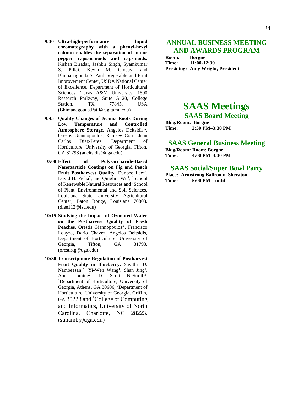- **9:30 Ultra-high-performance liquid chromatography with a phenyl-hexyl column enables the separation of major pepper capsaicinoids and capsinoids.**  Kishan Biradar, Jashbir Singh, Syamkumar S. Pillai, Kevin M. Crosby, and Bhimanagouda S. Patil. Vegetable and Fruit Improvement Center, USDA National Center of Excellence, Department of Horticultural Sciences, Texas A&M University, 1500
	- Research Parkway, Suite A120, College Station. TX 77845, USA [\(Bhimanagouda.Patil@ag.tamu.edu\)](mailto:Bhimanagouda.Patil@ag.tamu.edu)
- **9:45 Quality Changes of Jicama Roots During Low Temperature and Controlled Atmosphere Storage.** Angelos Deltsidis\*, Orestis Giannopoulos, Ramsey Corn, Juan Carlos Diaz-Perez, Department of Horticulture, University of Georgia, Tifton, GA 31793 [\(adeltsidis@uga.edu\)](mailto:adeltsidis@uga.edu)
- **10:00 Effect of Polysaccharide-Based Nanoparticle Coatings on Fig and Peach Fruit Postharvest Quality.** Danbee Lee<sup>1\*</sup>, David H. Picha<sup>2</sup>, and Qinglin Wu<sup>1</sup>, <sup>1</sup>School of Renewable Natural Resources and <sup>2</sup>School of Plant, Environmental and Soil Sciences, Louisiana State University Agricultural Center, Baton Rouge, Louisiana 70803. [\(dlee112@lsu.edu\)](mailto:dlee112@lsu.edu)
- **10:15 Studying the Impact of Ozonated Water on the Postharvest Quality of Fresh Peaches.** Orestis Giannopoulos\*, Francisco Loayza, Dario Chavez, Angelos Deltsidis, Department of Horticulture, University of Georgia, Tifton, GA 31793. [\(orestis.g@uga.edu\)](mailto:orestis.g@uga.edu)
- **10:30 Transcriptome Regulation of Postharvest Fruit Quality in Blueberry.** Savithri U. Nambeesan<sup>1\*</sup>, Yi-Wen Wang<sup>1</sup>, Shan Jing<sup>1</sup>, Ann Loraine<sup>2</sup>, D. Scott NeSmith<sup>3</sup>. <sup>1</sup>Department of Horticulture, University of Georgia, Athens, GA 30606, <sup>2</sup>Department of Horticulture, University of Georgia, Griffin, GA 30223 and <sup>3</sup>College of Computing and Informatics, University of North Carolina, Charlotte, NC 28223. (sunamb@uga.edu)

#### **ANNUAL BUSINESS MEETING AND AWARDS PROGRAM**

**Room: Borgne Time: 11:00-12:30 Presiding: Amy Wright, President**

# **SAAS Meetings**

**SAAS Board Meeting**

**Bldg/Room: Borgne Time: 2:30 PM–3:30 PM**

#### **SAAS General Business Meeting**

**Bldg/Room: Room: Borgne Time: 4:00 PM–4:30 PM**

#### **SAAS Social/Super Bowl Party**

**Place: Armstrong Ballroom, Sheraton Time: 5:00 PM – until**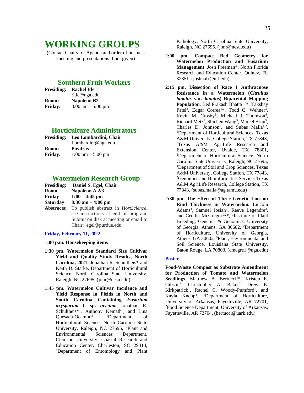# **WORKING GROUPS**

(Contact Chairs for Agenda and order of business meeting and presentations if not given)

#### **Southern Fruit Workers**

| <b>Presiding:</b> | <b>Rachel Itle</b>                  |
|-------------------|-------------------------------------|
|                   | ritle@uga.edu                       |
| <b>Room:</b>      | Napoleon B2                         |
| <b>Friday:</b>    | $8:00 \text{ am} - 5:00 \text{ pm}$ |

#### **Horticulture Administrators**

|                | Presiding: Leo Lombardini, Chair |
|----------------|----------------------------------|
|                | Lombardini@uga.edu               |
| Room:          | <b>Poydras</b>                   |
| <b>Friday:</b> | 1:00 pm $-$ 5:00 pm              |

#### **Watermelon Research Group**

|            | Presiding: Daniel S. Egel, Chair            |
|------------|---------------------------------------------|
| Room       | Napoleon A 2/3                              |
| Friday     | $1:00 - 4:45$ pm                            |
| Saturday   | $8:30$ am $-4:00$ pm                        |
| Abstracts: | To publish abstract in <i>HortScience</i> , |
|            | see instructions at end of program.         |
|            | Submit on disk at meeting or email to       |
|            | Chair: egel@purdue.edu                      |

#### **Friday, February 11, 2022**

#### **1:00 p.m. Housekeeping items**

- **1:30 pm. Watermelon Standard Size Cultivar Yield and Quality Study Results, North Carolina, 2021.** Jonathan R. Schultheis\* and Keith D. Starke. Department of Horticultural Science, North Carolina State University, Raleigh, NC 27695. (jonr@ncsu.edu)
- **1:45 pm. Watermelon Cultivar Incidence and Yield Response in Fields in North and South Carolina Containing** *Fusarium oxysporum* **f. sp.** *niveum.* Jonathan R. Schultheis<sup>\*1</sup>, Anthony Keinath<sup>2</sup>, and Lina Quesada-Ocampo<sup>3</sup>. <sup>1</sup>Department of Horticultural Science, North Carolina State University, Raleigh, NC 27695, <sup>2</sup>Plant and Environmental Sciences Department, Clemson University, Coastal Research and Education Center, Charleston, SC 29414, <sup>3</sup>Department of Entomology and Plant

Pathology, North Carolina State University, Raleigh, NC 27695. (jonr@ncsu.edu)

- **2:00 pm. Compact Bed Geometry for Watermelon Production and Fusarium Management**. Josh Freeman\*, North Florida Research and Education Center, Quincy, FL 32351. (joshuafr@ufl.edu)
- **2:15 pm. Dissection of Race 1 Anthracnose Resistance in a Watermelon (***Citrullus lanatus* **var.** *lanatus***) Biparental Mapping Population**. Bed Prakash Bhatta<sup>1,2\*</sup>, Takshay Patel<sup>3</sup>, Edgar Correa<sup>1,2</sup>, Todd C. Wehner<sup>3</sup>, Kevin M. Crosby<sup>1</sup>, Michael J. Thomson<sup>4</sup>, Richard Metz<sup>5</sup>, Shichen Wang<sup>5</sup>, Marcel Brun<sup>5</sup>, Charles D. Johnson<sup>5</sup>, and Subas Malla<sup>1,2</sup>, <sup>1</sup>Department of Horticultural Sciences, Texas A&M University, College Station, TX 77843, <sup>2</sup>Texas A&M AgriLife Research and Extension Center, Uvalde, TX 78801, <sup>3</sup>Department of Horticultural Science, North Carolina State University, Raleigh, NC 27695, <sup>4</sup>Department of Soil and Crop Sciences, Texas A&M University, College Station, TX 77843, <sup>5</sup>Genomics and Bioinformatics Service, Texas A&M AgriLife Research, College Station, TX 77843. (subas.malla@ag.tamu.edu)
- **2:30 pm. The Effect of Three Genetic Loci on Rind Thickness in Watermelon.** Lincoln Adams<sup>1</sup>, Samuel Josiah<sup>2</sup>, Reeve Legendre<sup>3</sup>, and Cecilia McGregor<sup>1,2\*</sup>, <sup>1</sup>Institute of Plant Breeding, Genetics & Genomics, University of Georgia, Athens, GA 30602, <sup>2</sup>Department of Horticulture, University of Georgia, Athens, GA 30602, <sup>3</sup>Plant, Environmental and Soil Science, Louisiana State University. Baton Rouge, LA 70803. (cmcgre1@uga.edu)

#### **Poster**

**Food-Waste Compost as Substrate Amendment for Production of Tomato and Watermelon**  Seedlings. Matthew B. Bertucci<sup>1\*</sup>, Kristen E. Gibson<sup>2</sup>, Christopher A. Baker<sup>2</sup>, Drew E. Kirkpatrick<sup>1</sup>, Rachel C. Woody-Pumford<sup>1</sup>, and Kayla Knepp<sup>1</sup>, <sup>1</sup>Department of Horticulture, University of Arkansas, Fayetteville, AR 72701, <sup>2</sup>Food Science Department, University of Arkansas, Fayetteville, AR 72704. (bertucci@uark.edu)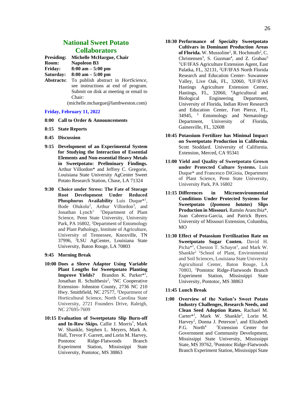#### **National Sweet Potato Collaborators**

| <b>Presiding:</b> | Michelle McHargue, Chair |  |
|-------------------|--------------------------|--|
|-------------------|--------------------------|--|

**Room: Napoleon B3**

**Friday: 8:00 am – 5:00 pm Saturday: 8:00 am – 5:00 pm**

**Abstracts:** To publish abstract in *HortScience*, see instructions at end of program. Submit on disk at meeting or email to Chair:

(michelle.mchargue@lambweston.com)

#### **Friday, February 11, 2022**

- **8:00 Call to Order & Announcements**
- **8:15 State Reports**
- **8:45 Discussion**
- **9:15 Development of an Experimental System for Studying the Interaction of Essential Elements and Non-essential Heavy Metals in Sweetpotato: Preliminary Findings.**  Arthur Villordon\* and Jeffrey C. Gregorie, Louisiana State University AgCenter Sweet Potato Research Station, Chase, LA 71324
- **9:30 Choice under Stress: The Fate of Storage Root Development Under Reduced**  Phosphorus Availability Luis Duque<sup>\*1</sup>, Bode Olukolu<sup>2</sup>, Arthur Villordon<sup>3</sup>, and Jonathan  $L$ ynch<sup>1</sup> <sup>1</sup>Department of Plant Science, Penn State University, University Park, PA 16802, <sup>2</sup>Department of Entomology and Plant Pathology, Institute of Agriculture, University of Tennessee, Knoxville, TN 37996, <sup>3</sup>LSU AgCenter, Louisiana State University, Baton Rouge, LA 70803
- **9:45 Morning Break**
- **10:00 Does a Sleeve Adaptor Using Variable Plant Lengths for Sweetpotato Planting**  Improve Yields? Brandon K. Parker<sup>\*1</sup>, Jonathan R. Schulthesis<sup>2</sup>, <sup>1</sup>NC Cooperative Extension- Johnston County, 2736 NC 210 Hwy. Smithfield, NC 27577, <sup>2</sup>Department of Horticultural Science, North Carolina State University, 2721 Founders Drive, Raleigh, NC 27695-7609
- **10:15 Evaluation of Sweetpotato Slip Burn-off and In-Row Skips.** Callie J. Morris\* , Mark W. Shankle, Stephen L. Meyers, Mark A. Hall, Trevor F. Garrett, and Lorin M. Harvey, Pontotoc Ridge-Flatwoods Branch Experiment Station, Mississippi State University, Pontotoc, MS 38863
- **10:30 Performance of Specialty Sweetpotato Cultivars in Dominant Production Areas**  of Florida. W. Mussoline<sup>1</sup>, R. Hochmuth<sup>2</sup>, C. Christensen<sup>3</sup>, S. Guzman<sup>4</sup>, and Z. Grabau<sup>5</sup> <sup>1</sup>UF/IFAS Agriculture Extension Agent, East Palatka, FL, 32131, <sup>2</sup>UF/IFAS North Florida Research and Education Center- Suwannee Valley, Live Oak, FL, 32060, <sup>3</sup>UF/IFAS Hastings Agriculture Extension Center, Hastings, FL, 32060, <sup>4</sup>Agricultural and Biological Engineering Department, University of Florida, Indian River Research and Education Center, Fort Pierce, FL, 34945, <sup>5</sup> Entomology and Nematology Department, University of Florida, Gainesville, FL, 32608
- **10:45 Potassium Fertilizer has Minimal Impact on Sweetpotato Production in California.**  Scott Stoddard. University of California. Extension, Merced, CA 95341
- **11:00 Yield and Quality of Sweetpotato Grown under Protected Culture Systems.** Luis Duque\* and Francesco DiGioia, Department of Plant Science, Penn State University, University Park, PA 16802
- **11:15 Differences in Microenvironmental Conditions Under Protected Systems for Sweetpotato (***Ipomoea batatas***) Slips Production in Missouri.** Ramón Arancibia\*, Juan Cabrera-Garcia, and Patrick Byers. University of Missouri Extension, Columbia,  $MO$
- **11:30 Effect of Potassium Fertilization Rate on Sweetpotato Sugar Conten.** David H. Picha<sup>\*1</sup>, Cheston T. Schayot<sup>1</sup>, and Mark W. Shankle<sup>2</sup> <sup>1</sup>School of Plant, Environmental and Soil Sciences, Louisiana State University Agricultural Center, Baton Rouge, LA 70803, <sup>2</sup>Pontotoc Ridge-Flatwoods Branch Experiment Station, Mississippi State University, Pontotoc, MS 38863

#### **11:45 Lunch Break**

**1:00 Overview of the Nation's Sweet Potato Industry Challenges, Research Needs, and Clean Seed Adoption Rates.** Rachael M. Carter\*<sup>1</sup>, Mark W. Shankle<sup>2</sup>, Lorin M. Harvey<sup>2</sup>, Donna J. Peterson<sup>3</sup>, and Elizabeth P.G. North<sup>4</sup> <sup>1</sup>Extension Center for Government and Community Development, Mississippi State University, Mississippi State, MS 39762, <sup>2</sup>Pontotoc Ridge-Flatwoods Branch Experiment Station, Mississippi State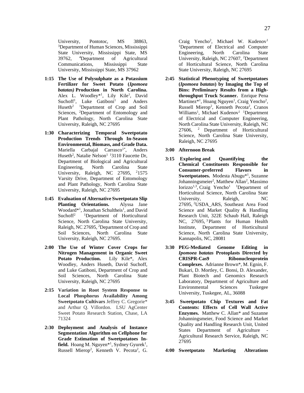University, Pontotoc, MS 38863, <sup>3</sup>Department of Human Sciences, Mississippi State University, Mississippi State, MS 39762, <sup>4</sup>Department of Agricultural Communications, Mississippi State University, Mississippi State, MS 37962

- **1:15 The Use of Polysulphate as a Potassium Fertilizer for Sweet Potato (***Ipomoea batatas)* **Production in North Carolina.**  Alex L. Woodley\*<sup>1</sup>, Lily Kile<sup>1</sup>, David Suchoff<sup>1</sup>, Luke Gatiboni<sup>1</sup> and Anders Huseth<sup>2</sup> <sup>1</sup>Department of Crop and Soil Sciences, <sup>2</sup>Department of Entomology and Plant Pathology, North Carolina State University, Raleigh, NC 27695
- **1:30 Characterizing Temporal Sweetpotato Production Trends Through In-Season Environmental, Biomass, and Grade Data.**  Mariella Carbajal Carrasco<sup>1\*</sup>, Anders Huseth<sup>2</sup>, Natalie Nelson<sup>1 1</sup>3110 Faucette Dr, Department of Biological and Agricultural Engineering, North Carolina State University, Raleigh, NC 27695, <sup>2</sup>1575 Varsity Drive, Department of Entomology and Plant Pathology, North Carolina State University, Raleigh, NC 27695
- **1:45 Evaluation of Alternative Sweetpotato Slip Planting Orientations.** Alyssa Jane Woodard\*<sup>1</sup>, Jonathan Schultheis<sup>1</sup>, and David Suchoff<sup>2</sup> <sup>1</sup>Department of Horticultural Science, North Carolina State University, Raleigh, NC 27695, <sup>2</sup>Department of Crop and Soil Sciences, North Carolina State University, Raleigh, NC 27695.
- **2:00 The Use of Winter Cover Crops for Nitrogen Management in Organic Sweet Potato Production.** Lily Kile\*, Alex Woodley, Anders Huseth, David Suchoff, and Luke Gatiboni, Department of Crop and Soil Sciences, North Carolina State University, Raleigh, NC 27695
- **2:15 Variation in Root System Response to Local Phosphorus Availability Among Sweetpotato Cultivars** Jeffrey C. Gregorie\* and Arthur Q. Villordon. LSU AgCenter Sweet Potato Research Station, Chase, LA 71324
- **2:30 Deployment and Analysis of Instance Segmentation Algorithm on Cellphone for Grade Estimation of Sweetpotatoes In**field. Hoang M. Nguyen<sup>\*1</sup>, Sydney Gyurek<sup>1</sup>, Russell Mierop<sup>2</sup>, Kenneth V. Pecota<sup>2</sup>, G.

Craig Yencho<sup>2</sup>, Michael W. Kudenov<sup>1</sup> <sup>1</sup>Department of Electrical and Computer Engineering, North Carolina State University, Raleigh, NC 27607, <sup>2</sup>Department of Horticultural Science, North Carolina State University, Raleigh, NC 27695

- **2:45 Statistical Phenotyping of Sweetpotatoes (***Ipomoea batatas***) by Imaging the Top of Bins: Preliminary Results from a Highthroughput Truck Scanner.** Enrique Pena Martinez<sup>\*1</sup>, Hoang Nguyen<sup>1</sup>, Craig Yencho<sup>2</sup>, Russell Mierop<sup>2</sup>, Kenneth Pecota<sup>2</sup>, Cranos Williams<sup>1</sup>, Michael Kudenov<sup>1</sup> <sup>1</sup>Department of Electrical and Computer Engineering, North Carolina State University, Raleigh, NC  $27606$ , <sup>2</sup> Department of Horticultural Science, North Carolina State University, Raleigh, NC 27695
- **3:00 Afternoon Break**
- **3:15 Exploring and Quantifying the Chemical Constituents Responsible for Consumer-preferred Flavors in Sweetpotatoes.** Modesta Abugu\*<sup>1</sup> , Suzanne Johanningsmeier<sup>2</sup>, Matthew Allan<sup>2</sup>, Massimo Iorizzo<sup>1,3</sup>, Craig Yencho<sup>1</sup> <sup>1</sup>Department of Horticultural Science, North Carolina State University, Raleigh, NC 27695, <sup>2</sup>USDA\_ARS, Southeast Area Food Science and Market Quality & Handling Research Unit, 322E Schaub Hall, Raleigh NC, 27695, <sup>3</sup> Plants for Human Health Institute, Department of Horticultural Science, North Carolina State University, Kannapolis, NC, 28081
- **3:30 PEG-Mediated Genome Editing in**  *Ipomoea batatas* **Protoplasts Directed by CRISPR-Cas9 Ribonucleoprotein Complexes.** Adrianne Brown\*, M. Egnin, F. Bukari, D. Mortley, C. Bonsi, D. Alexander, Plant Biotech and Genomics Research Laboratory, Department of Agriculture and Environmental Sciences Tuskegee University, Tuskegee, AL, 36088
- **3:45 Sweetpotato Chip Textures and Fat Contents: Effects of Cell Wall Active Enzymes.** Matthew C. Allan\* and Suzanne Johanningsmeier, Food Science and Market Quality and Handling Research Unit, United States Department of Agriculture Agricultural Research Service, Raleigh, NC 27695
- **4:00 Sweetpotato Marketing Alterations**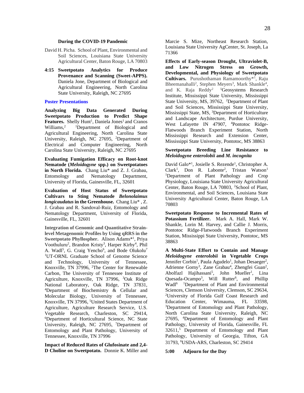- David H. Picha. School of Plant, Environmental and Soil Sciences, Louisiana State University Agricultural Center, Baton Rouge, LA 70803
- **4:15 Sweetpotato Analytics for Produce Provenance and Scanning (Sweet-APPS).**  Daniela Jone, Department of Biological and Agricultural Engineering, North Carolina State University, Raleigh, NC 27695

#### **Poster Presentations**

**Analyzing Big Data Generated During Sweetpotato Production to Predict Shape**  Features. Shelly Hunt<sup>1</sup>, Daniela Jones<sup>1</sup> and Cranos Williams,<sup>2</sup> <sup>1</sup>Department of Biological and Agricultural Engineering, North Carolina State University, Raleigh, NC 27695, <sup>2</sup>Department of Electrical and Computer Engineering, North Carolina State University, Raleigh, NC 27695

**Evaluating Fumigation Efficacy on Root-knot Nematode (***Meloidogyne* **spp.) on Sweetpotatoes in North Florida.** Chang Liu\* and Z. J. Grabau, Entomology and Nematology Department, University of Florida, Gainesville, FL, 32601

**Evaluation of Host Status of Sweetpotato Cultivars to Sting Nematode** *Belonolaimus longicaudatus* **in the Greenhouse.** Chang Liu\* , Z. J. Grabau and R. Sandoval-Ruiz, Entomology and Nematology Department, University of Florida, Gainesville, FL, 32601

**Integration of Genomic and Quantitative Strainlevel Metagenomic Profiles by Using qRRS in the Sweetpotato Phyllospher.** Alison Adams\*<sup>1</sup> , Priya Voothuluru<sup>2</sup>, Brandon Kristy<sup>3</sup>, Harper Kirby<sup>4</sup>, Phil A. Wadl<sup>5</sup>, G. Craig Yencho<sup>6</sup>, and Bode Olukolu<sup>7</sup> <sup>1</sup>UT-ORNL Graduate School of Genome Science and Technology, University of Tennessee, Knoxville, TN 37996, <sup>2</sup>The Center for Renewable Carbon, The University of Tennessee Institute of Agriculture, Knoxville, TN 37996, <sup>3</sup>Oak Ridge National Laboratory, Oak Ridge, TN 37831, <sup>4</sup>Department of Biochemistry & Cellular and Molecular Biology, University of Tennessee, Knoxville, TN 37996, <sup>5</sup>United States Department of Agriculture, Agriculture Research Service, U.S. Vegetable Research, Charleston, SC 29414, <sup>6</sup>Department of Horticultural Science, NC State University, Raleigh, NC 27695, <sup>7</sup>Department of Entomology and Plant Pathology, University of Tennessee, Knoxville, TN 37996

**Impact of Reduced Rates of Glufosinate and 2,4- D Choline on Sweetpotato.** Donnie K. Miller and Marcie S. Mize, Northeast Research Station, Louisiana State University AgCenter, St. Joseph, La 71366

**Effects of Early-season Drought, Ultraviolet-B, and Low Nitrogen Stress on Growth, Developmental, and Physiology of Sweetpotato Cultivars.** Purushothaman Ramamoorthy\*<sup>1</sup> , Raju Bheemanahalli<sup>2</sup>, Stephen Meyers<sup>3</sup>, Mark Shankle<sup>4</sup>, and K. Raja Reddy<sup>2</sup> <sup>1</sup>Geosystems Research Institute, Mississippi State University, Mississippi State University, MS, 39762, <sup>2</sup>Department of Plant and Soil Sciences, Mississippi State University, Mississippi State, MS, <sup>3</sup>Department of Horticulture and Landscape Architecture, Purdue University, West Lafayette IN 47907, <sup>4</sup>Pontotoc Ridge-Flatwoods Branch Experiment Station, North Mississippi Research and Extension Center, Mississippi State University, Pontotoc, MS 38863

#### **Sweetpotato Breeding Line Resistance to**  *Meloidogyne enterolobii* **and** *M. incognita*

David Galo\*<sup>1</sup>, Josielle S. Rezende<sup>1</sup>, Christopher A. Clark<sup>1</sup>, Don R. Labonte<sup>2</sup>, Tristan Watson<sup>1</sup> <sup>1</sup>Department of Plant Pathology and Crop Physiology, Louisiana State University Agricultural Center, Baton Rouge, LA 70803, <sup>2</sup>School of Plant, Environmental, and Soil Sciences, Louisiana State University Agricultural Center, Baton Rouge, LA 70803

**Sweetpotato Response to Incremental Rates of Potassium Fertilizer.** Mark A. Hall, Mark W. Shankle, Lorin M. Harvey, and Callie J. Morris, Pontotoc Ridge-Flatwoods Branch Experiment Station, Mississippi State University, Pontotoc, MS 38863

**A Multi-State Effort to Contain and Manage**  *Meloidogyne enterolobii* **in Vegetable Crops**  Jennifer Corbin<sup>1</sup>, Paula Agudelo<sup>1</sup>, Johan Desaeger<sup>2</sup>, Adrienne Gorny<sup>3</sup>, Zane Grabau<sup>4</sup>, Zhengfei Guan<sup>2</sup>, Abolfazl Hajihassani<sup>5</sup>, John Mueller<sup>1</sup>, Lina Quesada-Ocampo<sup>3</sup>, Will Rutter<sup>6</sup>, and Phillip Wadl<sup>6</sup> <sup>1</sup>Department of Plant and Environmental Sciences, Clemson University, Clemson, SC 29634, <sup>2</sup>University of Florida Gulf Coast Research and Education Center, Wimauma, FL 33598, <sup>3</sup>Department of Entomology and Plant Pathology, North Carolina State University, Raleigh, NC 27695, <sup>4</sup>Department of Entomology and Plant Pathology, University of Florida, Gainesville, FL 32611,<sup>5</sup> Department of Entomology and Plant Pathology, University of Georgia, Tifton, GA 31793, <sup>6</sup>USDA-ARS, Charleston, SC 29414

**5:00 Adjourn for the Day**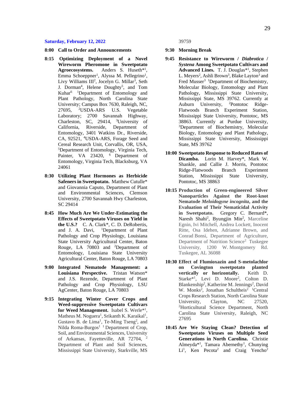#### **Saturday, February 12, 2022**

- **8:00 Call to Order and Announcements**
- **8:15 Optimizing Deployment of a Novel Wireworm Pheromone in Sweetpotato**  Agroecosystems. Anders S. Huseth<sup>\*1</sup>, Emma Schoeppner<sup>1</sup>, Alyssa M. Pellegrino<sup>1</sup>, Livy Williams III<sup>2</sup>, Jocelyn G. Millar<sup>3</sup>, Seth J. Dorman<sup>4</sup>, Helene Doughty<sup>5</sup>, and Tom Kuhar6 1Department of Entomology and Plant Pathology, North Carolina State University; Campus Box 7630, Raleigh, NC, 27695, <sup>2</sup>USDA-ARS U.S. Vegetable Laboratory; 2700 Savannah Highway, Charleston, SC, 29414, <sup>3</sup>University of California, Riverside, Department of Entomology, 3401 Watkins Dr., Riverside, CA, 92521, <sup>4</sup>USDA-ARS, Forage Seed and Cereal Research Unit, Corvallis, OR, USA, <sup>5</sup>Department of Entomology, Virginia Tech, Painter, VA 23420, <sup>6</sup> Department of Entomology, Virginia Tech, Blacksburg, VA 24061
- **8:30 Utilizing Plant Hormones as Herbicide Safeners in Sweetpotato.** Matthew Cutulle\* and Giovannia Caputo, Department of Plant and Environmental Sciences, Clemson University, 2700 Savannah Hwy Charleston, SC 29414
- **8:45 How Much Are We Under-Estimating the Effects of Sweetpotato Viruses on Yield in the U.S.?** C. A. Clark\*, C. D. DeRobertis, and J. A. Davi, <sup>1</sup>Department of Plant Pathology and Crop Physiology, Louisiana State University Agricultural Center, Baton Rouge, LA 70803 and <sup>2</sup>Department of Entomology, Louisiana State University Agricultural Center, Baton Rouge, LA 70803
- **9:00 Integrated Nematode Management: a Louisiana Perspective.** Tristan Watson\* and J.S. Rezende, Department of Plant Pathology and Crop Physiology, LSU AgCenter, Baton Rouge, LA 70803
- **9:15 Integrating Winter Cover Crops and Weed-suppressive Sweetpotato Cultivars for Weed Management.** Isabel S. Werle\*<sup>1</sup> , Matheus M. Noguera<sup>1</sup>, Srikanth K. Karaikal<sup>1</sup>, Gustavo B. de Lima<sup>1</sup>, Te-Ming Tseng<sup>2</sup>, and Nilda Roma-Burgos<sup>1</sup><sup>1</sup> Department of Crop, Soil, and Environmental Sciences, University of Arkansas, Fayetteville, AR 72704, <sup>2</sup> Department of Plant and Soil Sciences, Mississippi State University, Starkville, MS

39759

- **9:30 Morning Break**
- **9:45 Resistance to Wireworm /** *Diabrotica* **/**  *Systena* **Among Sweetpotato Cultivars and**  Advanced Lines. T. J. Douglas<sup>\*1</sup>, Stephen L. Meyers<sup>2</sup>, Ashli Brown<sup>3</sup>, Blake Layton<sup>3</sup> and Fred Musser<sup>3</sup> <sup>1</sup>Department of Biochemistry, Molecular Biology, Entomology and Plant Pathology, Mississippi State University, Mississippi State, MS 39762. Currently at Auburn University, 2Pontotoc Ridge-Flatwoods Branch Experiment Station, Mississippi State University, Pontotoc, MS 38863. Currently at Purdue University, <sup>3</sup>Department of Biochemistry, Molecular Biology, Entomology and Plant Pathology, Mississippi State University, Mississippi State, MS 39762
- **10:00 Sweetpotato Response to Reduced Rates of Dicamba.** Lorin M. Harvey\*, Mark W. Shankle, and Callie J. Morris, Pontotoc Ridge-Flatwoods Branch Experiment Station, Mississippi State University, Pontotoc, MS 38863
- **10:15 Production of Green-engineered Silver Nanoparticles Against the Root-knot Nematode** *Meloidogyne incognita***, and the Evaluation of Their Nematicidal Activity in Sweetpotato.** Gregory C. Bernard\*, Naresh Shahi<sup>2</sup>, Byungjin Min<sup>2</sup>, Marceline Egnin, Ivi Mitchell, Andrea Lockett, Inocent Ritte, Osa Idehen, Adrianne Brown, and Conrad Bonsi, Department of Agriculture, Department of Nutrition Science<sup>2</sup> Tuskegee University, 1200 W. Montgomery Rd. Tuskegee, AL 36088
- **10:30 Effect of Flumioxazin and S-metolachlor on Covington sweetpotato planted vertically or horizontally.** Keith D. Starke<sup>\*1</sup>, Levi D. Moore<sup>2</sup>, Colton D. Blankenship<sup>2</sup>, Katherine M. Jennings<sup>2</sup>, David W. Monks<sup>2</sup>, Jonathan Schultheis<sup>2</sup> <sup>1</sup>Central Crops Research Station, North Carolina State University, Clayton, NC 27520, <sup>2</sup>Horticultural Science Department, North Carolina State University, Raleigh, NC 27695
- **10:45 Are We Staying Clean? Detection of Sweetpotato Viruses on Multiple Seed Generations in North Carolina.** Christie Almeyda<sup>\*1</sup>, Tamara Abernethy<sup>1</sup>, Chunying Li<sup>1</sup>, Ken Pecota<sup>2</sup> and Craig Yencho<sup>2</sup>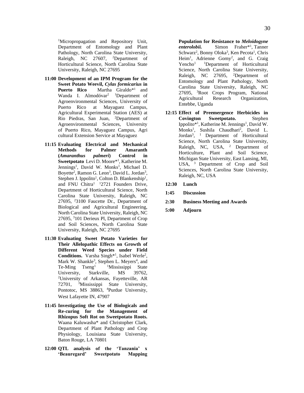<sup>1</sup>Micropropagation and Repository Unit, Department of Entomology and Plant Pathology, North Carolina State University, Raleigh, NC 27607, <sup>2</sup>Department of Horticultural Science, North Carolina State University, Raleigh, NC 27695

- **11:00 Development of an IPM Program for the Sweet Potato Weevil,** *Cylas formicarius* **in Puerto Rico** Martha Giraldo<sup>\*1</sup> and Wanda I. Almodóvar<sup>2</sup> <sup>1</sup>Department of Agroenvironmental Sciences, University of Puerto Rico at Mayaguez Campus, Agricultural Experimental Station (AES) at Rio Piedras, San Juan, <sup>2</sup>Department of Agroenvironmental Sciences, University of Puerto Rico, Mayaguez Campus, Agri cultural Extension Service at Mayaguez
- **11:15 Evaluating Electrical and Mechanical Methods for Palmer Amaranth (***Amaranthus palmeri***) Control in Sweetpotato** Levi D. Moore\*<sup>1</sup> , Katherine M. Jennings<sup>1</sup>, David W. Monks<sup>1</sup>, Michael D. Boyette<sup>2</sup>, Ramon G. Leon<sup>3</sup>, David L. Jordan<sup>3</sup>, Stephen J. Ippolito<sup>1</sup>, Colton D. Blankenship<sup>1</sup>, and FNU Chitra<sup>1</sup> <sup>1</sup>2721 Founders Drive, Department of Horticultural Science, North Carolina State University, Raleigh, NC 27695, <sup>2</sup>3100 Faucette Dr., Department of Biological and Agricultural Engineering, North Carolina State University, Raleigh, NC 27695, <sup>3</sup>101 Derieux Pl, Department of Crop and Soil Sciences, North Carolina State University, Raleigh, NC 27695
- **11:30 Evaluating Sweet Potato Varieties for Their Allelopathic Effects on Growth of Different Weed Species under Field**  Conditions. Varsha Singh<sup>\*1</sup>, Isabel Werle<sup>2</sup>, Mark W. Shankle<sup>3</sup>, Stephen L. Meyers<sup>4</sup>, and  $Te-Ming$   $Tseng<sup>1</sup>$   $1$   $Missisisippi$   $State$ University, Starkville, MS 39762, <sup>2</sup>University of Arkansas, Fayetteville, AR 72701, <sup>3</sup>Mississippi State University, Pontotoc, MS 38863, <sup>4</sup>Purdue University, West Lafayette IN, 47907
- **11:45 Investigating the Use of Biologicals and Re-curing for the Management of Rhizopus Soft Rot on Sweetpotato Roots.**  Waana Kaluwasha\* and Christopher Clark, Department of Plant Pathology and Crop Physiology, Louisiana State University, Baton Rouge, LA 70801
- **12:00 QTL analysis of the 'Tanzania' x 'Beauregard' Sweetpotato Mapping**

**Population for Resistance to** *Meloidogyne enterolobii.* Simon Fraher\*<sup>1</sup> , Tanner Schwarz<sup>2</sup>, Bonny Oloka<sup>3</sup>, Ken Pecota<sup>1</sup>, Chris Heim<sup>1</sup>, Adrienne Gorny<sup>2</sup>, and G. Craig  $Yencho<sup>1</sup>$  1Department of Horticultural Science, North Carolina State University, Raleigh, NC 27695, <sup>2</sup>Department of Entomology and Plant Pathology, North Carolina State University, Raleigh, NC 27695, <sup>3</sup>Root Crops Program, National Agricultural Research Organization, Entebbe, Uganda

- **12:15 Effect of Preemergence Herbicides in Covington Sweetpotato.** Stephen Ippolito $*^1$ , Katherine M. Jennings<sup>1</sup>, David W. Monks<sup>1</sup>, Sushila Chaudhari<sup>2</sup>, David L. Jordan<sup>3</sup>, <sup>1</sup> Department of Horticultural Science, North Carolina State University, Raleigh, NC, USA, <sup>2</sup> Department of Horticulture, Plant and Soil Science, Michigan State University, East Lansing, MI, USA, <sup>3</sup> Department of Crop and Soil Sciences, North Carolina State University, Raleigh, NC, USA
- **12:30 Lunch**
- **1:45 Discussion**
- **2:30 Business Meeting and Awards**
- **5:00 Adjourn**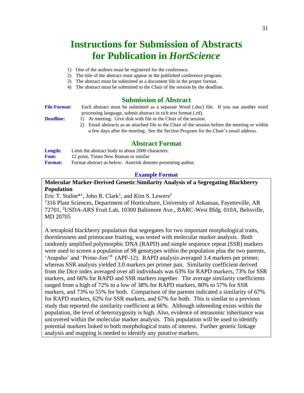# **Instructions for Submission of Abstracts for Publication in** *HortScience*

- 1) One of the authors must be registered for the conference.
- 2) The title of the abstract must appear in the published conference program.
- 3) The abstract must be submitted as a document file in the proper format.
- 4) The abstract must be submitted to the Chair of the session by the deadline.

#### **Submission of Abstract**

| <b>File Format:</b> | Each abstract must be submitted as a separate Word (doc) file. If you use another word |  |
|---------------------|----------------------------------------------------------------------------------------|--|
|                     | processing language, submit abstract in rich text format (.rtf).                       |  |
|                     |                                                                                        |  |

- **Deadline:** 1) At meeting: Give disk with file to the Chair of the session.
	- 2) Email abstracts as an attached file to the Chair of the session before the meeting or within a few days after the meeting. See the Section Program for the Chair's email address.

#### **Abstract Format**

| Length:        | Limit the abstract body to about 2000 characters.             |  |  |  |  |  |  |  |  |  |
|----------------|---------------------------------------------------------------|--|--|--|--|--|--|--|--|--|
| <b>Font:</b>   | 12 point, Times New Roman or similar                          |  |  |  |  |  |  |  |  |  |
| <b>Format:</b> | Format abstract as below. Asterisk denotes presenting author. |  |  |  |  |  |  |  |  |  |

#### **Example Format**

#### **Molecular Marker-Derived Genetic Similarity Analysis of a Segregating Blackberry Population**

Eric T. Stafne<sup>\*1</sup>, John R. Clark<sup>1</sup>, and Kim S. Lewers<sup>2</sup>

<sup>1</sup>316 Plant Sciences, Department of Horticulture, University of Arkansas, Fayetteville, AR 72701, <sup>2</sup>USDA-ARS Fruit Lab, 10300 Baltimore Ave., BARC-West Bldg. 010A, Beltsville, MD 20705

A tetraploid blackberry population that segregates for two important morphological traits, thornlessness and primocane fruiting, was tested with molecular marker analysis. Both randomly amplified polymorphic DNA (RAPD) and simple sequence repeat (SSR) markers were used to screen a population of 98 genotypes within the population plus the two parents, 'Arapaho' and 'Prime-Jim'® (APF-12). RAPD analysis averaged 3.4 markers per primer, whereas SSR analysis yielded 3.0 markers per primer pair. Similarity coefficient derived from the Dice index averaged over all individuals was 63% for RAPD markers, 73% for SSR markers, and 66% for RAPD and SSR markers together. The average similarity coefficients ranged from a high of 72% to a low of 38% for RAPD markers, 80% to 57% for SSR markers, and 73% to 55% for both. Comparison of the parents indicated a similarity of 67% for RAPD markers, 62% for SSR markers, and 67% for both. This is similar to a previous study that reported the similarity coefficient at 66%. Although inbreeding exists within the population, the level of heterozygosity is high. Also, evidence of tetrasomic inheritance was uncovered within the molecular marker analysis. This population will be used to identify potential markers linked to both morphological traits of interest. Further genetic linkage analysis and mapping is needed to identify any putative markers.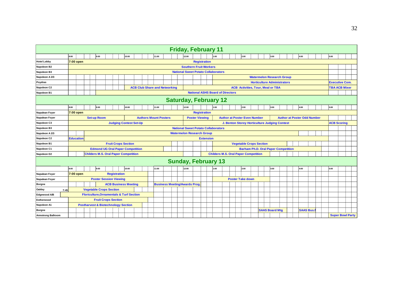| <b>Friday, February 11</b>   |                                                                                  |                                         |  |                                                     |                     |                             |       |                               |  |                              |  |  |  |                                            |                       |                      |      |  |                                               |  |                                    |  |                                    |                  |  |                       |                    |                         |  |  |
|------------------------------|----------------------------------------------------------------------------------|-----------------------------------------|--|-----------------------------------------------------|---------------------|-----------------------------|-------|-------------------------------|--|------------------------------|--|--|--|--------------------------------------------|-----------------------|----------------------|------|--|-----------------------------------------------|--|------------------------------------|--|------------------------------------|------------------|--|-----------------------|--------------------|-------------------------|--|--|
|                              | 8:00                                                                             |                                         |  | 9:00                                                |                     |                             | 10:00 |                               |  | 11:00                        |  |  |  | 12:00                                      |                       |                      | 1:00 |  | 2:00                                          |  | 3:00                               |  | 4:00                               |                  |  | 5:00                  |                    |                         |  |  |
| <b>Hotel Lobby</b>           |                                                                                  | 7:00 open                               |  |                                                     |                     |                             |       |                               |  |                              |  |  |  |                                            |                       | <b>Registration</b>  |      |  |                                               |  |                                    |  |                                    |                  |  |                       |                    |                         |  |  |
| Napoleon B2                  |                                                                                  |                                         |  |                                                     |                     |                             |       |                               |  |                              |  |  |  | <b>Southern Fruit Workers</b>              |                       |                      |      |  |                                               |  |                                    |  |                                    |                  |  |                       |                    |                         |  |  |
| Napoleon B3                  |                                                                                  |                                         |  |                                                     |                     |                             |       |                               |  |                              |  |  |  | <b>National Sweet Potato Collaborators</b> |                       |                      |      |  |                                               |  |                                    |  |                                    |                  |  |                       |                    |                         |  |  |
| Napoleon A 2/3               |                                                                                  |                                         |  |                                                     |                     |                             |       |                               |  |                              |  |  |  |                                            |                       |                      |      |  |                                               |  | <b>Watermelon Research Group</b>   |  |                                    |                  |  |                       |                    |                         |  |  |
| Poydras                      |                                                                                  |                                         |  |                                                     |                     |                             |       |                               |  |                              |  |  |  |                                            |                       |                      |      |  |                                               |  | <b>Horticulture Administrators</b> |  |                                    |                  |  | <b>Executive Com.</b> |                    |                         |  |  |
| Napoleon C2                  | <b>ACB Club Share and Networking</b><br><b>ACB Activities. Tour. Meal or TBA</b> |                                         |  |                                                     |                     |                             |       |                               |  |                              |  |  |  |                                            |                       | <b>TBA ACB Mixer</b> |      |  |                                               |  |                                    |  |                                    |                  |  |                       |                    |                         |  |  |
| Napoleon B1                  |                                                                                  | <b>National ASHS Board of Directors</b> |  |                                                     |                     |                             |       |                               |  |                              |  |  |  |                                            |                       |                      |      |  |                                               |  |                                    |  |                                    |                  |  |                       |                    |                         |  |  |
| <b>Saturday, February 12</b> |                                                                                  |                                         |  |                                                     |                     |                             |       |                               |  |                              |  |  |  |                                            |                       |                      |      |  |                                               |  |                                    |  |                                    |                  |  |                       |                    |                         |  |  |
|                              | 8:00                                                                             |                                         |  | 9:00                                                |                     |                             | 10:00 |                               |  | 11:00                        |  |  |  | 12:00                                      |                       |                      | 1:00 |  | 2:00                                          |  | 3:00                               |  | 4:00                               |                  |  | 5:00                  |                    |                         |  |  |
| Napalean Foyer               |                                                                                  | 7:00 open                               |  |                                                     |                     |                             |       |                               |  |                              |  |  |  |                                            |                       | <b>Registration</b>  |      |  |                                               |  |                                    |  |                                    |                  |  |                       |                    |                         |  |  |
| Napalean Foyer               |                                                                                  |                                         |  | <b>Set-up Room</b>                                  |                     |                             |       |                               |  | <b>Authors Mount Posters</b> |  |  |  |                                            | <b>Poster Viewing</b> |                      |      |  | <b>Author at Poster Even Number</b>           |  |                                    |  | <b>Author at Poster Odd Number</b> |                  |  |                       |                    |                         |  |  |
| Napoleon C3                  |                                                                                  |                                         |  |                                                     |                     |                             |       | <b>Judging Contest Set-Up</b> |  |                              |  |  |  |                                            |                       |                      |      |  | J. Benton Storey Horticulture Judging Contest |  |                                    |  |                                    |                  |  |                       | <b>ACB Scoring</b> |                         |  |  |
| Napoleon B3                  |                                                                                  |                                         |  |                                                     |                     |                             |       |                               |  |                              |  |  |  | <b>National Sweet Potato Collaborators</b> |                       |                      |      |  |                                               |  |                                    |  |                                    |                  |  |                       |                    |                         |  |  |
| Napoleon A 2/3               |                                                                                  |                                         |  |                                                     |                     |                             |       |                               |  |                              |  |  |  | <b>Watermelon Research Group</b>           |                       |                      |      |  |                                               |  |                                    |  |                                    |                  |  |                       |                    |                         |  |  |
| Napoleon C2                  |                                                                                  | <b>Education</b>                        |  |                                                     |                     |                             |       |                               |  |                              |  |  |  |                                            |                       | <b>Extension</b>     |      |  |                                               |  |                                    |  |                                    |                  |  |                       |                    |                         |  |  |
| Napoleon B1                  |                                                                                  |                                         |  |                                                     |                     | <b>Fruit Crops Section</b>  |       |                               |  |                              |  |  |  |                                            |                       |                      |      |  | <b>Vegetable Crops Section</b>                |  |                                    |  |                                    |                  |  |                       |                    |                         |  |  |
| Napoleon C1                  |                                                                                  |                                         |  | <b>Edmond UG Oral Paper Competition</b>             |                     |                             |       |                               |  |                              |  |  |  |                                            |                       |                      |      |  | <b>Barham Ph.D. Oral Paper Competition</b>    |  |                                    |  |                                    |                  |  |                       |                    |                         |  |  |
| Napoleon D2                  |                                                                                  |                                         |  | <b>Childers M.S. Oral Paper Competition</b>         |                     |                             |       |                               |  |                              |  |  |  |                                            |                       |                      |      |  | <b>Childers M.S. Oral Paper Competition</b>   |  |                                    |  |                                    |                  |  |                       |                    |                         |  |  |
|                              |                                                                                  |                                         |  |                                                     |                     |                             |       |                               |  |                              |  |  |  | <b>Sunday, February 13</b>                 |                       |                      |      |  |                                               |  |                                    |  |                                    |                  |  |                       |                    |                         |  |  |
|                              | 8:00                                                                             |                                         |  | 9:00                                                |                     |                             | 10:00 |                               |  | 11:00                        |  |  |  | 12:00                                      |                       |                      | 1:00 |  | 2:00                                          |  | 3:00                               |  | 4:00                               |                  |  | 5:00                  |                    |                         |  |  |
| <b>Napalean Foyer</b>        |                                                                                  | 7:00 open                               |  |                                                     | <b>Registration</b> |                             |       |                               |  |                              |  |  |  |                                            |                       |                      |      |  |                                               |  |                                    |  |                                    |                  |  |                       |                    |                         |  |  |
| Napalean Foyer               |                                                                                  |                                         |  | <b>Poster Session Viewing</b>                       |                     |                             |       |                               |  |                              |  |  |  |                                            |                       |                      |      |  | <b>Poster Take down</b>                       |  |                                    |  |                                    |                  |  |                       |                    |                         |  |  |
| <b>Borgne</b>                |                                                                                  |                                         |  |                                                     |                     | <b>ACB Business Meeting</b> |       |                               |  |                              |  |  |  | <b>Business Meeting/Awards Prog.</b>       |                       |                      |      |  |                                               |  |                                    |  |                                    |                  |  |                       |                    |                         |  |  |
| Oakley<br>7:45               |                                                                                  |                                         |  | <b>Vegetable Crops Section</b>                      |                     |                             |       |                               |  |                              |  |  |  |                                            |                       |                      |      |  |                                               |  |                                    |  |                                    |                  |  |                       |                    |                         |  |  |
| Edgewood A/B                 |                                                                                  |                                         |  | <b>Floriculture, Ornamentals &amp; Turf Section</b> |                     |                             |       |                               |  |                              |  |  |  |                                            |                       |                      |      |  |                                               |  |                                    |  |                                    |                  |  |                       |                    |                         |  |  |
| Estherwood                   |                                                                                  |                                         |  | <b>Fruit Crops Section</b>                          |                     |                             |       |                               |  |                              |  |  |  |                                            |                       |                      |      |  |                                               |  |                                    |  |                                    |                  |  |                       |                    |                         |  |  |
| Napoleon A1                  |                                                                                  |                                         |  | <b>Postharvest &amp; Biotechnology Section</b>      |                     |                             |       |                               |  |                              |  |  |  |                                            |                       |                      |      |  |                                               |  |                                    |  |                                    |                  |  |                       |                    |                         |  |  |
| <b>Borgne</b>                |                                                                                  |                                         |  |                                                     |                     |                             |       |                               |  |                              |  |  |  |                                            |                       |                      |      |  |                                               |  | <b>SAAS Board Mtg</b>              |  |                                    | <b>SAAS Bus.</b> |  |                       |                    |                         |  |  |
| <b>Armstrong Ballroom</b>    |                                                                                  |                                         |  |                                                     |                     |                             |       |                               |  |                              |  |  |  |                                            |                       |                      |      |  |                                               |  |                                    |  |                                    |                  |  |                       |                    | <b>Super Bowl Party</b> |  |  |